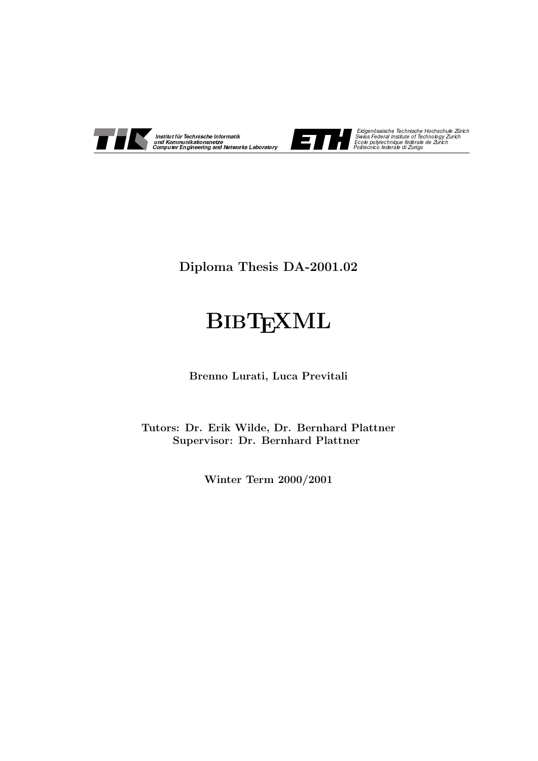



Eidgenössische Technische Hochschule Zürich<br>Swiss Federal Institute of Technology Zurich<br>Ecole polytechnique fédérale de Zurich

Diploma Thesis DA-2001.02

# **BIBTEXML**

Brenno Lurati, Luca Previtali

Tutors: Dr. Erik Wilde, Dr. Bernhard Plattner Supervisor: Dr. Bernhard Plattner

Winter Term 2000/2001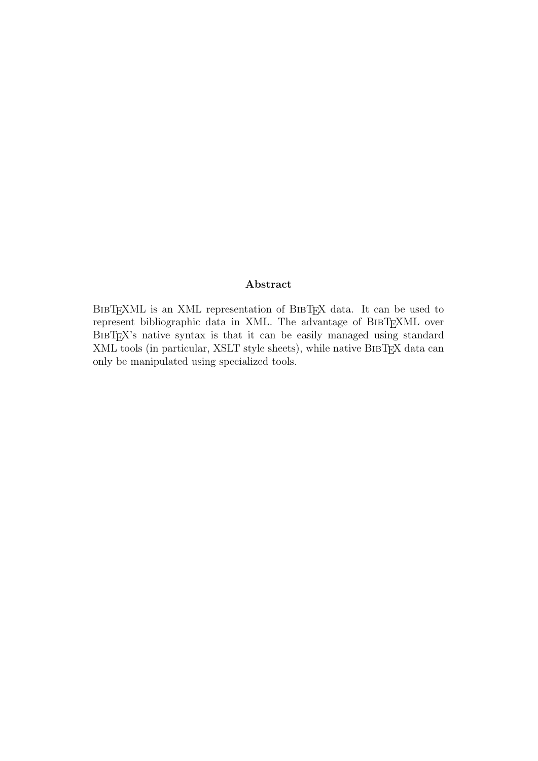#### Abstract

BibTEXML is an XML representation of BibTEX data. It can be used to represent bibliographic data in XML. The advantage of BIBTEXML over BibTEX's native syntax is that it can be easily managed using standard XML tools (in particular, XSLT style sheets), while native BibTEX data can only be manipulated using specialized tools.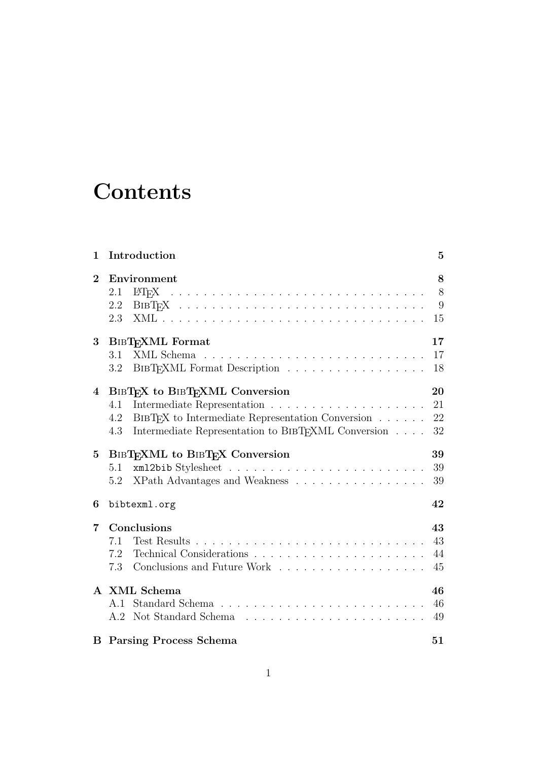# **Contents**

| $\mathbf{1}$ | Introduction                                                                                                                                                              | 5                    |
|--------------|---------------------------------------------------------------------------------------------------------------------------------------------------------------------------|----------------------|
| $\bf{2}$     | Environment<br><b>LAT<sub>F</sub>X</b><br>2.1<br>2.2<br>2.3                                                                                                               | 8<br>8<br>9<br>15    |
| $\bf{3}$     | <b>BIBTEXML</b> Format<br>3.1<br>BIBT <sub>F</sub> XML Format Description<br>3.2                                                                                          | 17<br>17<br>18       |
| 4            | BIBTEX to BIBTEXML Conversion<br>4.1<br>BIBT <sub>F</sub> X to Intermediate Representation Conversion<br>4.2<br>Intermediate Representation to BIBTFXML Conversion<br>4.3 | 20<br>21<br>22<br>32 |
| $\bf{5}$     | BIBTEXML to BIBTEX Conversion<br>5.1<br>XPath Advantages and Weakness<br>5.2                                                                                              | 39<br>39<br>39       |
| 6            | bibtexml.org                                                                                                                                                              | 42                   |
| 7            | Conclusions<br>7.1<br>7.2<br>7.3<br>Conclusions and Future Work                                                                                                           | 43<br>43<br>44<br>45 |
|              | A XML Schema<br>A.1                                                                                                                                                       | 46<br>46<br>49       |
|              | <b>B</b> Parsing Process Schema                                                                                                                                           | 51                   |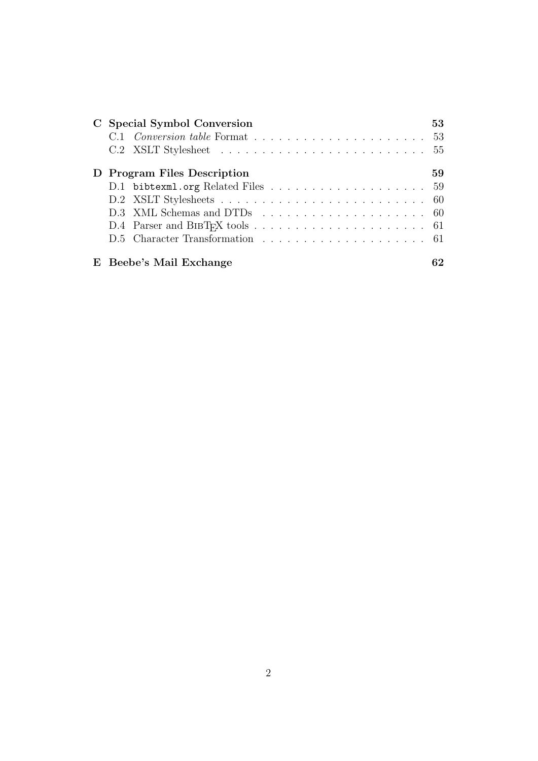| C Special Symbol Conversion | 53 |
|-----------------------------|----|
|                             |    |
|                             |    |
| D Program Files Description | 59 |
|                             |    |
|                             |    |
|                             |    |
|                             |    |
|                             |    |
| E Beebe's Mail Exchange     |    |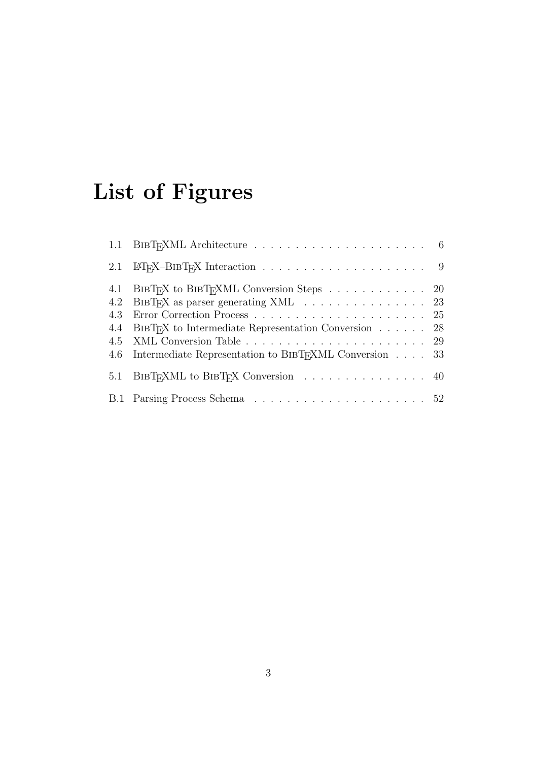# List of Figures

|     | 4.1 BIBTEX to BIBTEXML Conversion Steps 20                       |  |
|-----|------------------------------------------------------------------|--|
|     | 4.2 BIBTFX as parser generating XML 23                           |  |
| 4.3 |                                                                  |  |
| 4.4 | BIBT <sub>F</sub> X to Intermediate Representation Conversion 28 |  |
|     |                                                                  |  |
|     | 4.6 Intermediate Representation to BIBTFXML Conversion 33        |  |
|     | 5.1 BIBT <sub>F</sub> XML to BIBT <sub>F</sub> X Conversion 40   |  |
|     |                                                                  |  |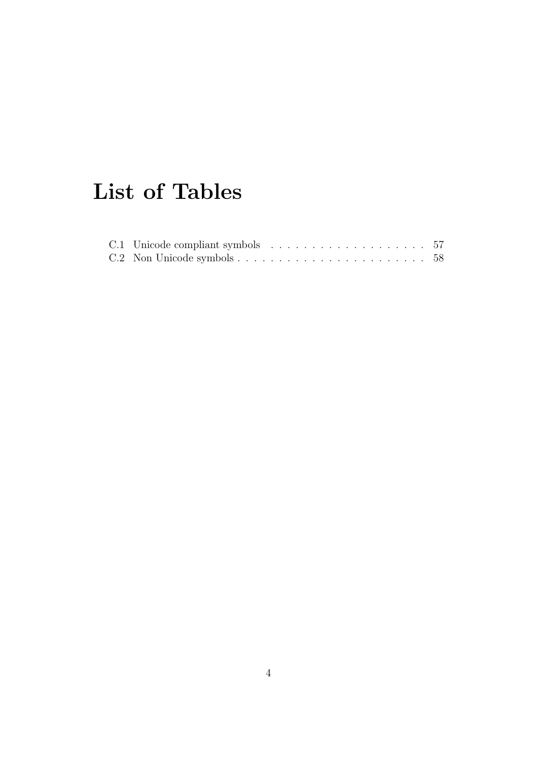# List of Tables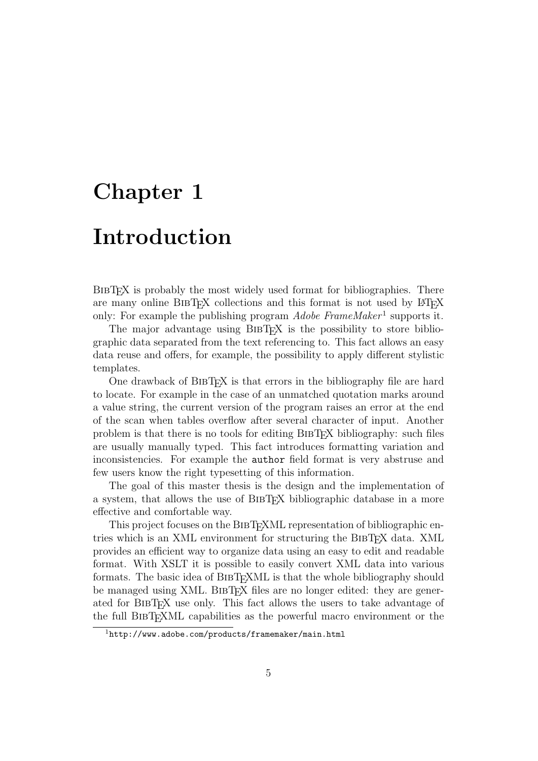# Chapter 1

# Introduction

BIBT<sub>EX</sub> is probably the most widely used format for bibliographies. There are many online BIBT<sub>EX</sub> collections and this format is not used by LATEX only: For example the publishing program  $Adobe\ FrameMaker<sup>1</sup>$  supports it.

The major advantage using BIBT<sub>EX</sub> is the possibility to store bibliographic data separated from the text referencing to. This fact allows an easy data reuse and offers, for example, the possibility to apply different stylistic templates.

One drawback of BIBT<sub>EX</sub> is that errors in the bibliography file are hard to locate. For example in the case of an unmatched quotation marks around a value string, the current version of the program raises an error at the end of the scan when tables overflow after several character of input. Another problem is that there is no tools for editing BibTEX bibliography: such files are usually manually typed. This fact introduces formatting variation and inconsistencies. For example the author field format is very abstruse and few users know the right typesetting of this information.

The goal of this master thesis is the design and the implementation of a system, that allows the use of BIBT<sub>EX</sub> bibliographic database in a more effective and comfortable way.

This project focuses on the BIBT<sub>EXML</sub> representation of bibliographic entries which is an XML environment for structuring the BIBT<sub>E</sub>X data. XML provides an efficient way to organize data using an easy to edit and readable format. With XSLT it is possible to easily convert XML data into various formats. The basic idea of BIBTEXML is that the whole bibliography should be managed using XML. BIBT<sub>F</sub>X files are no longer edited: they are generated for BibTEX use only. This fact allows the users to take advantage of the full BibTEXML capabilities as the powerful macro environment or the

 $1$ http://www.adobe.com/products/framemaker/main.html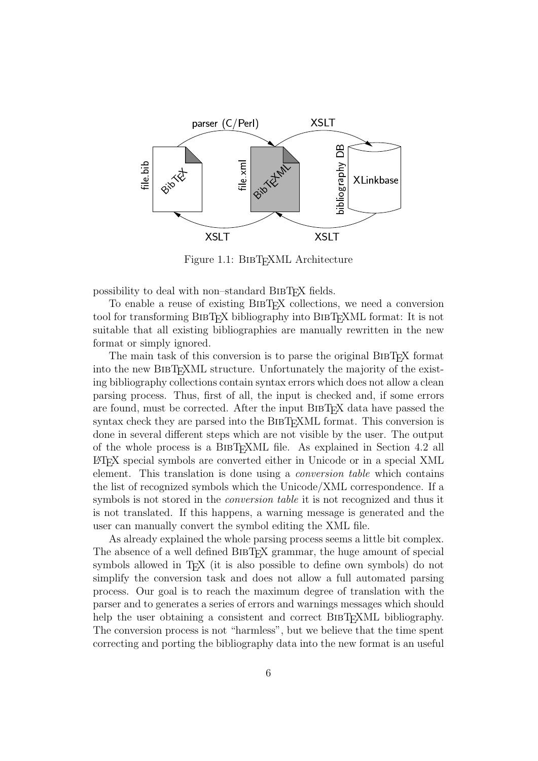

Figure 1.1: BIBT<sub>F</sub>XML Architecture

possibility to deal with non–standard BibTEX fields.

To enable a reuse of existing BIBT<sub>EX</sub> collections, we need a conversion tool for transforming BibTEX bibliography into BibTEXML format: It is not suitable that all existing bibliographies are manually rewritten in the new format or simply ignored.

The main task of this conversion is to parse the original BIBT<sub>EX</sub> format into the new BIBT<sub>EXML</sub> structure. Unfortunately the majority of the existing bibliography collections contain syntax errors which does not allow a clean parsing process. Thus, first of all, the input is checked and, if some errors are found, must be corrected. After the input BIBT<sub>EX</sub> data have passed the syntax check they are parsed into the BIBT<sub>EXML</sub> format. This conversion is done in several different steps which are not visible by the user. The output of the whole process is a BIBT<sub>E</sub>XML file. As explained in Section 4.2 all LATEX special symbols are converted either in Unicode or in a special XML element. This translation is done using a conversion table which contains the list of recognized symbols which the Unicode/XML correspondence. If a symbols is not stored in the conversion table it is not recognized and thus it is not translated. If this happens, a warning message is generated and the user can manually convert the symbol editing the XML file.

As already explained the whole parsing process seems a little bit complex. The absence of a well defined BIBT<sub>EX</sub> grammar, the huge amount of special symbols allowed in T<sub>EX</sub> (it is also possible to define own symbols) do not simplify the conversion task and does not allow a full automated parsing process. Our goal is to reach the maximum degree of translation with the parser and to generates a series of errors and warnings messages which should help the user obtaining a consistent and correct BIBT<sub>EXML</sub> bibliography. The conversion process is not "harmless", but we believe that the time spent correcting and porting the bibliography data into the new format is an useful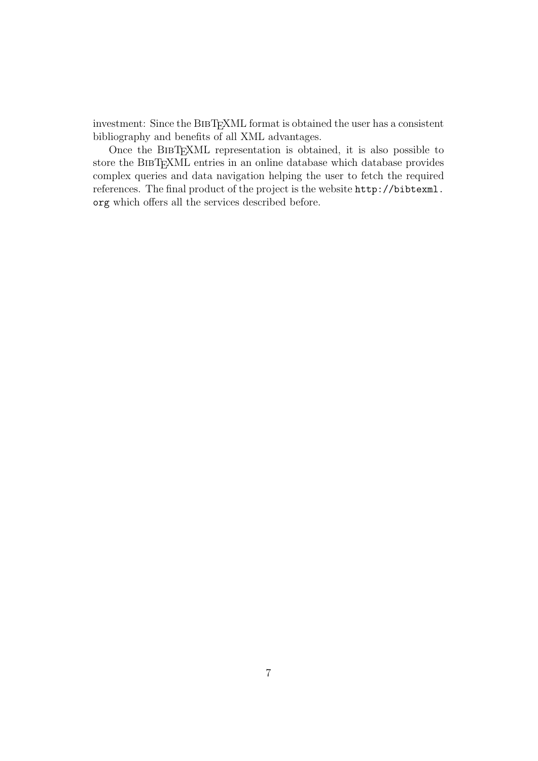investment: Since the BIBTEXML format is obtained the user has a consistent bibliography and benefits of all XML advantages.

Once the BibTEXML representation is obtained, it is also possible to store the BibTEXML entries in an online database which database provides complex queries and data navigation helping the user to fetch the required references. The final product of the project is the website http://bibtexml. org which offers all the services described before.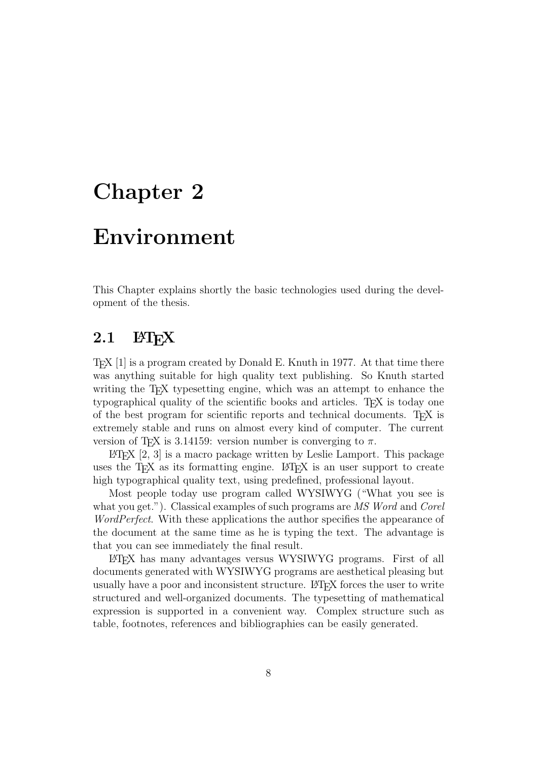# Chapter 2

# Environment

This Chapter explains shortly the basic technologies used during the development of the thesis.

## $2.1$  LAT<sub>F</sub>X

TEX [1] is a program created by Donald E. Knuth in 1977. At that time there was anything suitable for high quality text publishing. So Knuth started writing the T<sub>E</sub>X typesetting engine, which was an attempt to enhance the typographical quality of the scientific books and articles. TEX is today one of the best program for scientific reports and technical documents. T<sub>E</sub>X is extremely stable and runs on almost every kind of computer. The current version of T<sub>E</sub>X is 3.14159: version number is converging to  $\pi$ .

 $\Delta$  EV [2, 3] is a macro package written by Leslie Lamport. This package uses the T<sub>E</sub>X as its formatting engine. LAT<sub>E</sub>X is an user support to create high typographical quality text, using predefined, professional layout.

Most people today use program called WYSIWYG ("What you see is what you get."). Classical examples of such programs are MS Word and Corel WordPerfect. With these applications the author specifies the appearance of the document at the same time as he is typing the text. The advantage is that you can see immediately the final result.

LATEX has many advantages versus WYSIWYG programs. First of all documents generated with WYSIWYG programs are aesthetical pleasing but usually have a poor and inconsistent structure. LATEX forces the user to write structured and well-organized documents. The typesetting of mathematical expression is supported in a convenient way. Complex structure such as table, footnotes, references and bibliographies can be easily generated.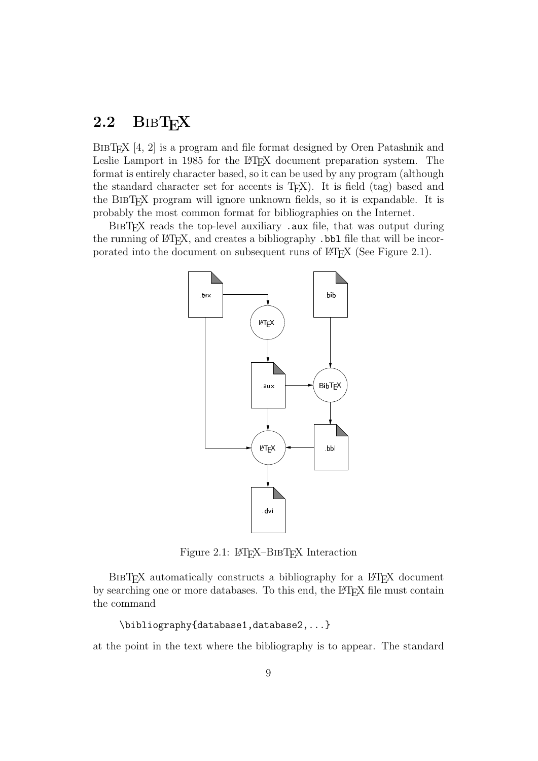## 2.2 BIBTEX

BIBT<sub>EX</sub> [4, 2] is a program and file format designed by Oren Patashnik and Leslie Lamport in 1985 for the L<sup>AT</sup>EX document preparation system. The format is entirely character based, so it can be used by any program (although the standard character set for accents is  $T<sub>F</sub>X$ ). It is field (tag) based and the BibTEX program will ignore unknown fields, so it is expandable. It is probably the most common format for bibliographies on the Internet.

BibTEX reads the top-level auxiliary .aux file, that was output during the running of LAT<sub>E</sub>X, and creates a bibliography . bbl file that will be incorporated into the document on subsequent runs of  $\langle \text{BTr} X \rangle$  (See Figure 2.1).



Figure 2.1: LAT<sub>EX</sub>–BIBT<sub>EX</sub> Interaction

BIBT<sub>EX</sub> automatically constructs a bibliography for a L<sup>AT</sup>EX document by searching one or more databases. To this end, the LATEX file must contain the command

```
\bibliography{database1,database2,...}
```
at the point in the text where the bibliography is to appear. The standard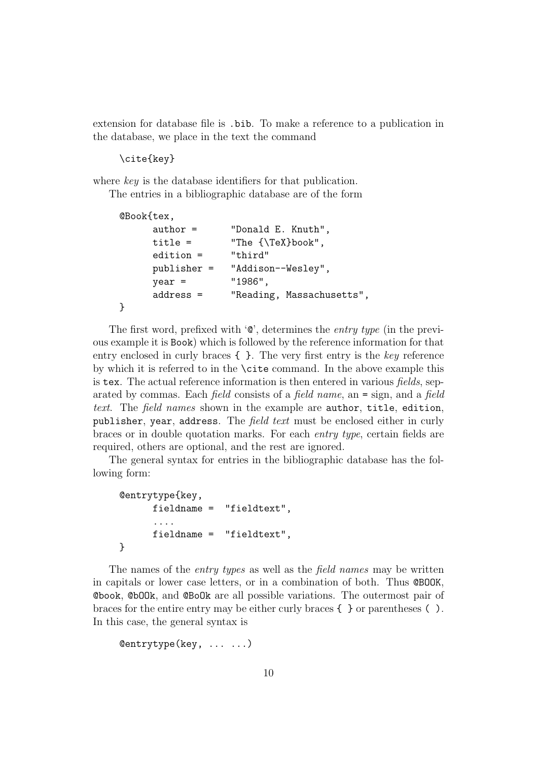extension for database file is .bib. To make a reference to a publication in the database, we place in the text the command

\cite{key}

where key is the database identifiers for that publication.

The entries in a bibliographic database are of the form

```
@Book{tex,
     author = "Donald E. Knuth",
     title = \text{The } {\text{YeX}book",edition = "third"
     publisher = "Addison--Wesley",
     year = "1986",
     address = "Reading, Massachusetts",
}
```
The first word, prefixed with '@', determines the entry type (in the previous example it is Book) which is followed by the reference information for that entry enclosed in curly braces  $\{\}$ . The very first entry is the key reference by which it is referred to in the \cite command. In the above example this is tex. The actual reference information is then entered in various fields, separated by commas. Each field consists of a field name, an = sign, and a field text. The field names shown in the example are author, title, edition, publisher, year, address. The *field text* must be enclosed either in curly braces or in double quotation marks. For each entry type, certain fields are required, others are optional, and the rest are ignored.

The general syntax for entries in the bibliographic database has the following form:

```
@entrytype{key,
      fieldname = "fieldtext",
      ....
      fieldname = "fieldtext",
}
```
The names of the *entry types* as well as the *field names* may be written in capitals or lower case letters, or in a combination of both. Thus @BOOK, @book, @bOOk, and @BoOk are all possible variations. The outermost pair of braces for the entire entry may be either curly braces { } or parentheses ( ). In this case, the general syntax is

```
@entrytype(key, ... ...)
```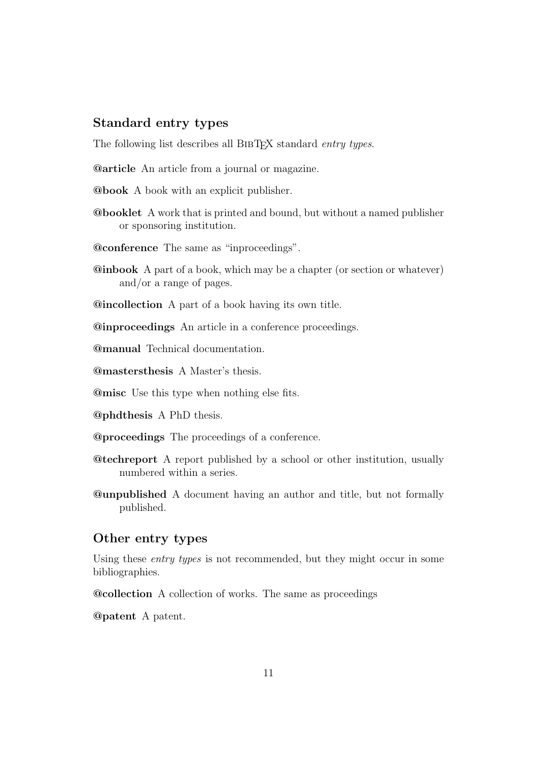#### Standard entry types

The following list describes all BIBTEX standard entry types.

@article An article from a journal or magazine.

- @book A book with an explicit publisher.
- @booklet A work that is printed and bound, but without a named publisher or sponsoring institution.
- @conference The same as "inproceedings".
- @inbook A part of a book, which may be a chapter (or section or whatever) and/or a range of pages.
- @incollection A part of a book having its own title.

@inproceedings An article in a conference proceedings.

@manual Technical documentation.

@mastersthesis A Master's thesis.

@misc Use this type when nothing else fits.

- @phdthesis A PhD thesis.
- @proceedings The proceedings of a conference.
- @techreport A report published by a school or other institution, usually numbered within a series.
- @unpublished A document having an author and title, but not formally published.

#### Other entry types

Using these entry types is not recommended, but they might occur in some bibliographies.

@collection A collection of works. The same as proceedings

@patent A patent.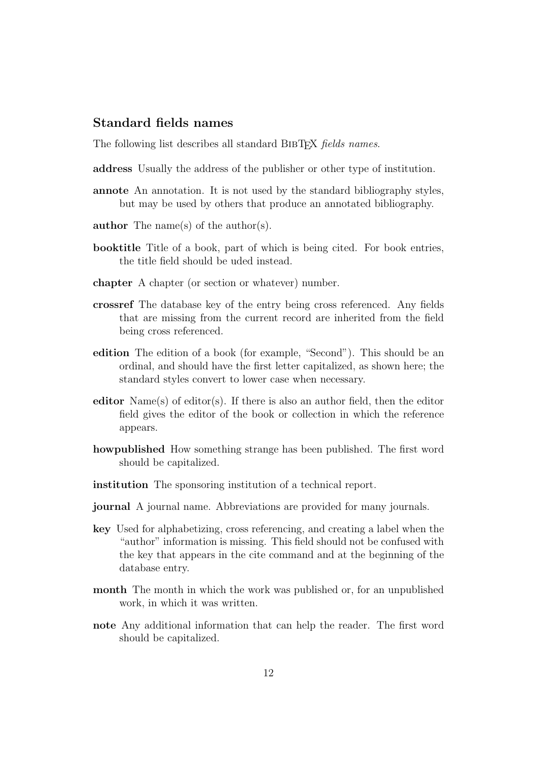#### Standard fields names

The following list describes all standard BIBTEX fields names.

- address Usually the address of the publisher or other type of institution.
- annote An annotation. It is not used by the standard bibliography styles, but may be used by others that produce an annotated bibliography.
- author The name(s) of the author(s).
- booktitle Title of a book, part of which is being cited. For book entries, the title field should be uded instead.
- chapter A chapter (or section or whatever) number.
- crossref The database key of the entry being cross referenced. Any fields that are missing from the current record are inherited from the field being cross referenced.
- edition The edition of a book (for example, "Second"). This should be an ordinal, and should have the first letter capitalized, as shown here; the standard styles convert to lower case when necessary.
- editor  $Name(s)$  of editor(s). If there is also an author field, then the editor field gives the editor of the book or collection in which the reference appears.
- howpublished How something strange has been published. The first word should be capitalized.
- institution The sponsoring institution of a technical report.
- journal A journal name. Abbreviations are provided for many journals.
- key Used for alphabetizing, cross referencing, and creating a label when the "author" information is missing. This field should not be confused with the key that appears in the cite command and at the beginning of the database entry.
- month The month in which the work was published or, for an unpublished work, in which it was written.
- note Any additional information that can help the reader. The first word should be capitalized.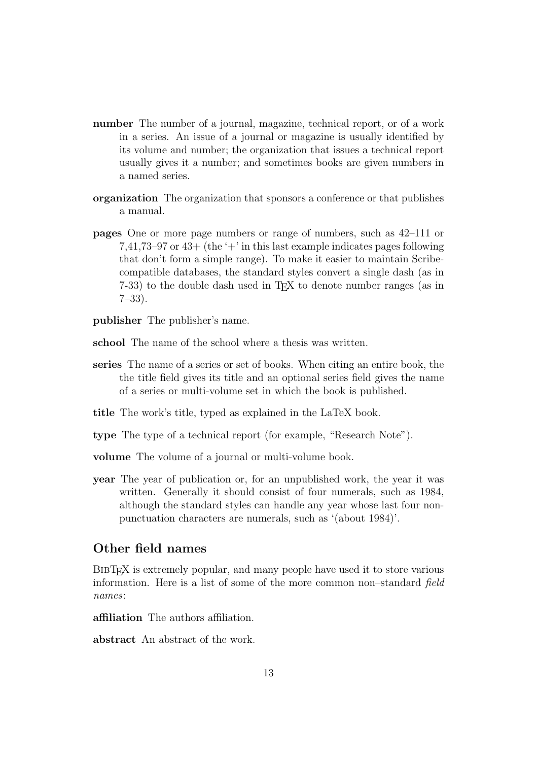- number The number of a journal, magazine, technical report, or of a work in a series. An issue of a journal or magazine is usually identified by its volume and number; the organization that issues a technical report usually gives it a number; and sometimes books are given numbers in a named series.
- organization The organization that sponsors a conference or that publishes a manual.
- pages One or more page numbers or range of numbers, such as 42–111 or 7,41,73–97 or  $43+$  (the '+' in this last example indicates pages following that don't form a simple range). To make it easier to maintain Scribecompatible databases, the standard styles convert a single dash (as in 7-33) to the double dash used in TEX to denote number ranges (as in 7–33).

publisher The publisher's name.

- school The name of the school where a thesis was written.
- series The name of a series or set of books. When citing an entire book, the the title field gives its title and an optional series field gives the name of a series or multi-volume set in which the book is published.
- title The work's title, typed as explained in the LaTeX book.
- type The type of a technical report (for example, "Research Note").

volume The volume of a journal or multi-volume book.

**year** The year of publication or, for an unpublished work, the year it was written. Generally it should consist of four numerals, such as 1984, although the standard styles can handle any year whose last four nonpunctuation characters are numerals, such as '(about 1984)'.

#### Other field names

BIBT<sub>EX</sub> is extremely popular, and many people have used it to store various information. Here is a list of some of the more common non–standard field names:

affiliation The authors affiliation.

abstract An abstract of the work.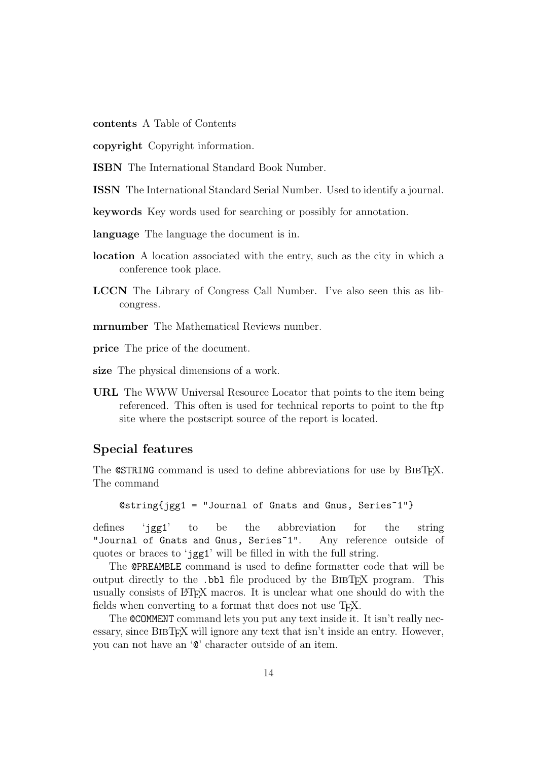contents A Table of Contents

copyright Copyright information.

ISBN The International Standard Book Number.

ISSN The International Standard Serial Number. Used to identify a journal.

keywords Key words used for searching or possibly for annotation.

language The language the document is in.

- location A location associated with the entry, such as the city in which a conference took place.
- LCCN The Library of Congress Call Number. I've also seen this as libcongress.
- mrnumber The Mathematical Reviews number.

price The price of the document.

size The physical dimensions of a work.

URL The WWW Universal Resource Locator that points to the item being referenced. This often is used for technical reports to point to the ftp site where the postscript source of the report is located.

#### Special features

The **@STRING** command is used to define abbreviations for use by BIBT<sub>F</sub>X. The command

```
@string{jgg1 = "Journal of Gnats and Gnus, Series^1"}
```
defines 'jgg1' to be the abbreviation for the string "Journal of Gnats and Gnus, Series~1". Any reference outside of quotes or braces to 'jgg1' will be filled in with the full string.

The @PREAMBLE command is used to define formatter code that will be output directly to the .bbl file produced by the BIBT<sub>EX</sub> program. This usually consists of LATEX macros. It is unclear what one should do with the fields when converting to a format that does not use T<sub>F</sub>X.

The @COMMENT command lets you put any text inside it. It isn't really necessary, since BIBTFX will ignore any text that isn't inside an entry. However, you can not have an '@' character outside of an item.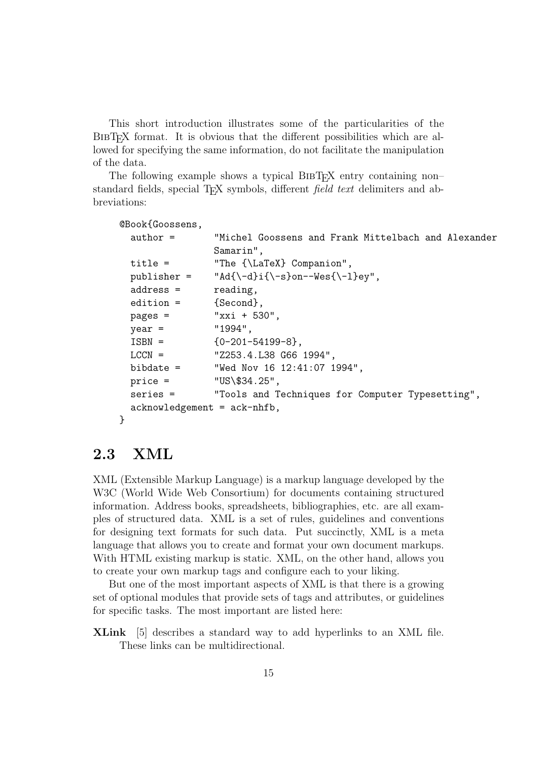This short introduction illustrates some of the particularities of the BibTEX format. It is obvious that the different possibilities which are allowed for specifying the same information, do not facilitate the manipulation of the data.

The following example shows a typical BIBT<sub>EX</sub> entry containing non– standard fields, special TEX symbols, different *field text* delimiters and abbreviations:

```
@Book{Goossens,
 author = "Michel Goossens and Frank Mittelbach and Alexander
               Samarin",
 title = "The {\LaTeX} Companion",
 publisher = "Ad{\-\dagger\}i{\-\s\}on-\text{Wes}\{-1\}ey",address = reading,
 edition = {Second},
 pages = "xxi + 530",
 year = "1994",
 ISBN = \{0-201-54199-8\},LCCN = "Z253.4.L38 G66 1994",
 bibdate = "Wed Nov 16 12:41:07 1994",
 price = 10S\34.25",
 series = "Tools and Techniques for Computer Typesetting",
 acknowledgement = ack-nhfb,
}
```
## 2.3 XML

XML (Extensible Markup Language) is a markup language developed by the W3C (World Wide Web Consortium) for documents containing structured information. Address books, spreadsheets, bibliographies, etc. are all examples of structured data. XML is a set of rules, guidelines and conventions for designing text formats for such data. Put succinctly, XML is a meta language that allows you to create and format your own document markups. With HTML existing markup is static. XML, on the other hand, allows you to create your own markup tags and configure each to your liking.

But one of the most important aspects of XML is that there is a growing set of optional modules that provide sets of tags and attributes, or guidelines for specific tasks. The most important are listed here:

XLink [5] describes a standard way to add hyperlinks to an XML file. These links can be multidirectional.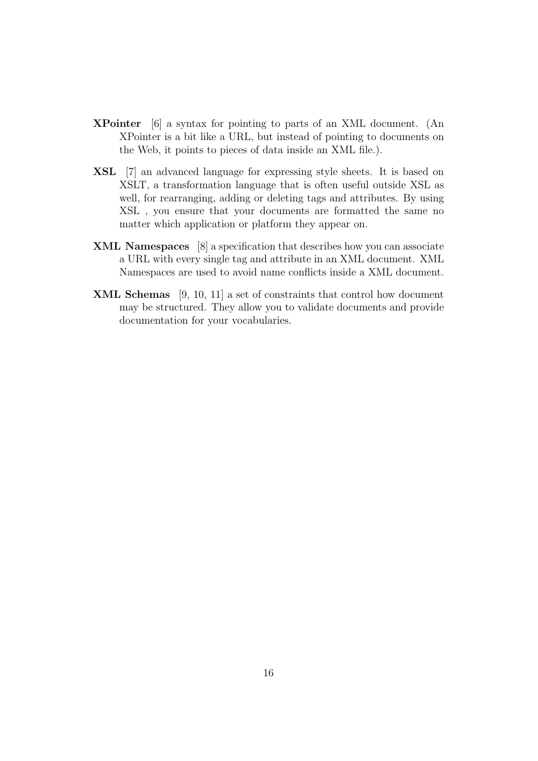- XPointer [6] a syntax for pointing to parts of an XML document. (An XPointer is a bit like a URL, but instead of pointing to documents on the Web, it points to pieces of data inside an XML file.).
- XSL [7] an advanced language for expressing style sheets. It is based on XSLT, a transformation language that is often useful outside XSL as well, for rearranging, adding or deleting tags and attributes. By using XSL , you ensure that your documents are formatted the same no matter which application or platform they appear on.
- XML Namespaces [8] a specification that describes how you can associate a URL with every single tag and attribute in an XML document. XML Namespaces are used to avoid name conflicts inside a XML document.
- XML Schemas [9, 10, 11] a set of constraints that control how document may be structured. They allow you to validate documents and provide documentation for your vocabularies.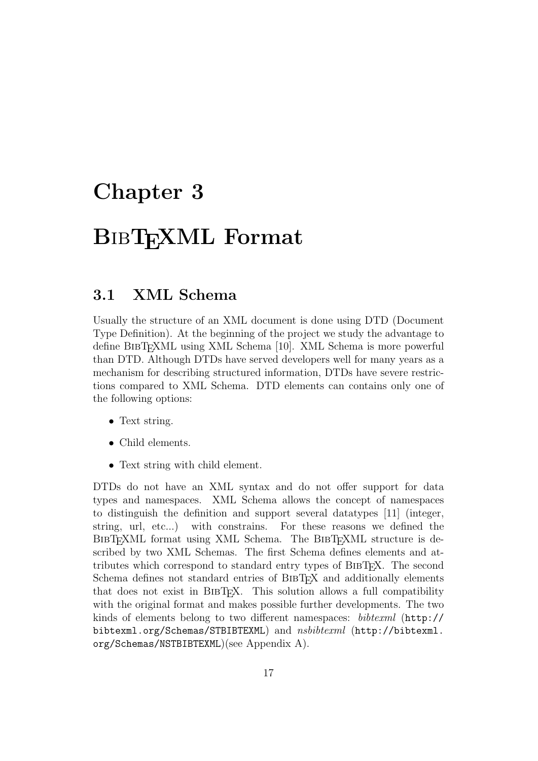# Chapter 3

# BIBTEXML Format

### 3.1 XML Schema

Usually the structure of an XML document is done using DTD (Document Type Definition). At the beginning of the project we study the advantage to define BIBT<sub>EX</sub>ML using XML Schema [10]. XML Schema is more powerful than DTD. Although DTDs have served developers well for many years as a mechanism for describing structured information, DTDs have severe restrictions compared to XML Schema. DTD elements can contains only one of the following options:

- Text string.
- Child elements.
- Text string with child element.

DTDs do not have an XML syntax and do not offer support for data types and namespaces. XML Schema allows the concept of namespaces to distinguish the definition and support several datatypes [11] (integer, string, url, etc...) with constrains. For these reasons we defined the BIBT<sub>EXML</sub> format using XML Schema. The BIBT<sub>EXML</sub> structure is described by two XML Schemas. The first Schema defines elements and attributes which correspond to standard entry types of BibTEX. The second Schema defines not standard entries of BIBT<sub>EX</sub> and additionally elements that does not exist in BibTEX. This solution allows a full compatibility with the original format and makes possible further developments. The two kinds of elements belong to two different namespaces: bibtexml (http:// bibtexml.org/Schemas/STBIBTEXML) and nsbibtexml (http://bibtexml. org/Schemas/NSTBIBTEXML)(see Appendix A).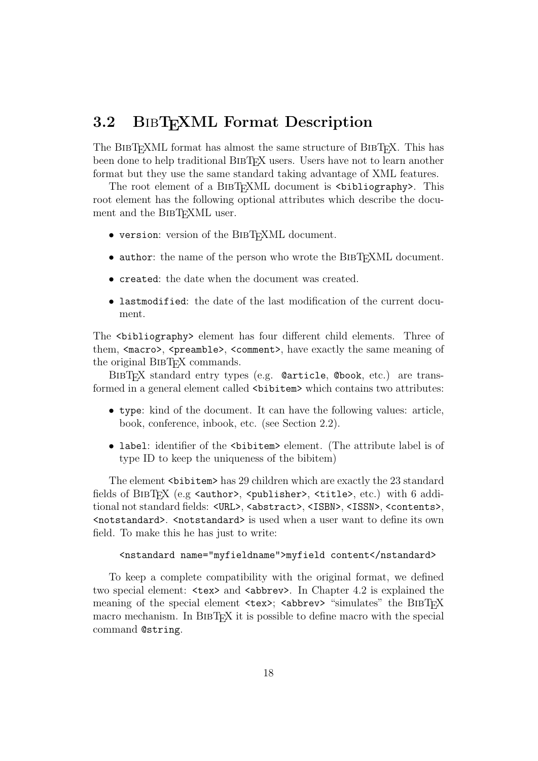## 3.2 BIBT<sub>E</sub>XML Format Description

The BIBT<sub>EXML</sub> format has almost the same structure of BIBT<sub>EX</sub>. This has been done to help traditional BIBT<sub>EX</sub> users. Users have not to learn another format but they use the same standard taking advantage of XML features.

The root element of a BIBT<sub>EX</sub>ML document is  $\delta$  is light that  $\delta$ . This root element has the following optional attributes which describe the document and the BIBT<sub>EXML</sub> user.

- version: version of the BIBT<sub>EXML</sub> document.
- author: the name of the person who wrote the BIBTEXML document.
- created: the date when the document was created.
- lastmodified: the date of the last modification of the current document.

The <bibliography> element has four different child elements. Three of them, <macro>, <preamble>, <comment>, have exactly the same meaning of the original BIBT<sub>F</sub>X commands.

BibTEX standard entry types (e.g. @article, @book, etc.) are transformed in a general element called <br/> this velocity which contains two attributes:

- type: kind of the document. It can have the following values: article, book, conference, inbook, etc. (see Section 2.2).
- label: identifier of the  $\delta$ bibitem> element. (The attribute label is of type ID to keep the uniqueness of the bibitem)

The element <br/>sbittem> has 29 children which are exactly the 23 standard fields of BIBTFX (e.g  $\{\text{author}\}$ ,  $\{\text{public}$ ,  $\{\text{title}\}$ ,  $\{\text{etc.}\}$ ) with 6 additional not standard fields: <URL>, <abstract>, <ISBN>, <ISSN>, <contents>,  $\zeta$  is used when a user want to define its own field. To make this he has just to write:

```
<nstandard name="myfieldname">myfield content</nstandard>
```
To keep a complete compatibility with the original format, we defined two special element:  $\langle \text{text} \rangle$  and  $\langle \text{abbrev} \rangle$ . In Chapter 4.2 is explained the meaning of the special element  $\langle \text{tex} \rangle$ ;  $\langle \text{abbrev} \rangle$  "simulates" the BIBTFX macro mechanism. In BIBT<sub>EX</sub> it is possible to define macro with the special command @string.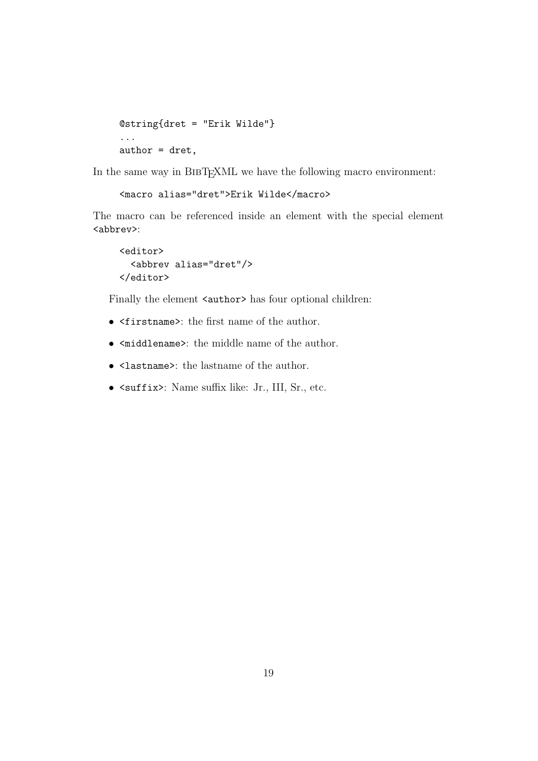```
@string{dret = "Erik Wilde"}
...
author = dret,
```
In the same way in BIBTEXML we have the following macro environment:

```
<macro alias="dret">Erik Wilde</macro>
```
The macro can be referenced inside an element with the special element <abbrev>:

```
<editor>
  <abbrev alias="dret"/>
</editor>
```
Finally the element <author> has four optional children:

- <firstname>: the first name of the author.
- <middlename>: the middle name of the author.
- <lastname>: the lastname of the author.
- <suffix>: Name suffix like: Jr., III, Sr., etc.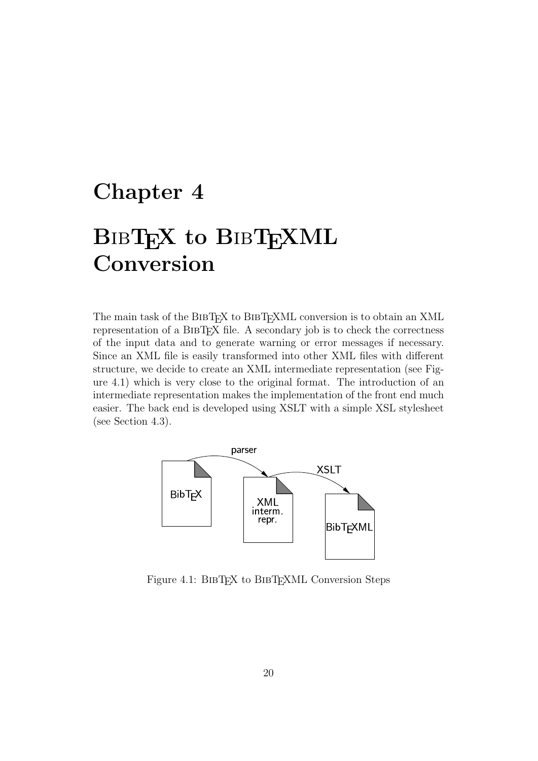# Chapter 4

# BIBTEX to BIBTEXML Conversion

The main task of the BIBTEX to BIBTEXML conversion is to obtain an XML representation of a BIBT<sub>EX</sub> file. A secondary job is to check the correctness of the input data and to generate warning or error messages if necessary. Since an XML file is easily transformed into other XML files with different structure, we decide to create an XML intermediate representation (see Figure 4.1) which is very close to the original format. The introduction of an intermediate representation makes the implementation of the front end much easier. The back end is developed using XSLT with a simple XSL stylesheet (see Section 4.3).



Figure 4.1: BIBTEX to BIBTEXML Conversion Steps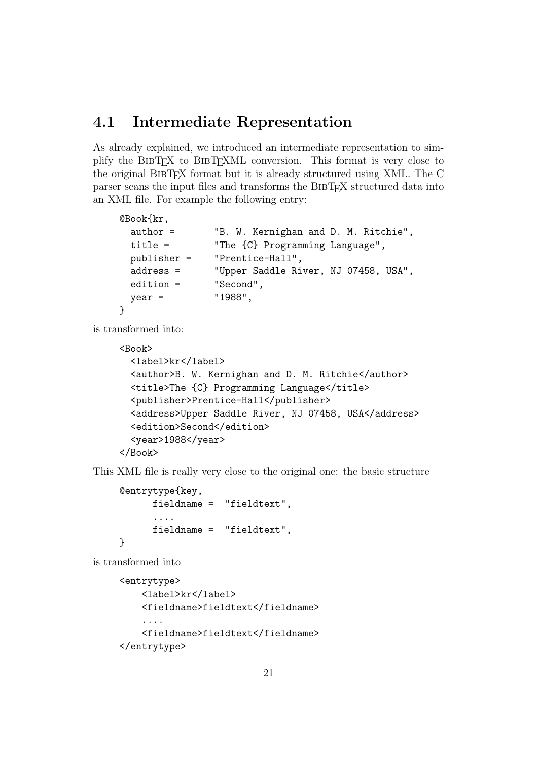## 4.1 Intermediate Representation

As already explained, we introduced an intermediate representation to simplify the BIBTEX to BIBTEXML conversion. This format is very close to the original BibTEX format but it is already structured using XML. The C parser scans the input files and transforms the BibTEX structured data into an XML file. For example the following entry:

```
@Book{kr,
 author = "B. W. Kernighan and D. M. Ritchie",
 title = "The {C} Programming Language",
 publisher = "Prentice-Hall",
 address = "Upper Saddle River, NJ 07458, USA",
 edition = "Second",
 year = "1988",
}
```
is transformed into:

```
<Book>
  <label>kr</label>
  <author>B. W. Kernighan and D. M. Ritchie</author>
  <title>The {C} Programming Language</title>
  <publisher>Prentice-Hall</publisher>
  <address>Upper Saddle River, NJ 07458, USA</address>
  <edition>Second</edition>
  <year>1988</year>
</Book>
```
This XML file is really very close to the original one: the basic structure

```
@entrytype{key,
      fieldname = "fieldtext",
      ....
      fieldname = "fieldtext",
}
```
is transformed into

```
<entrytype>
    <label>kr</label>
    <fieldname>fieldtext</fieldname>
    ....
    <fieldname>fieldtext</fieldname>
</entrytype>
```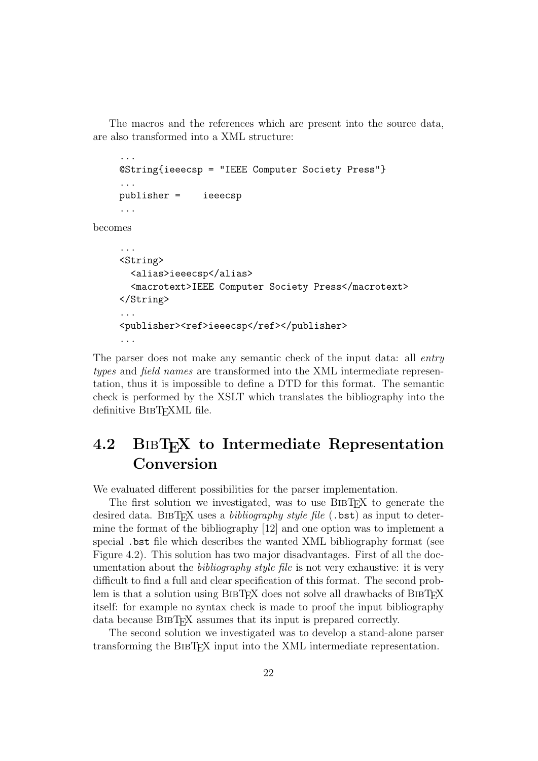The macros and the references which are present into the source data, are also transformed into a XML structure:

```
...
    @String{ieeecsp = "IEEE Computer Society Press"}
     ...
    publisher = ieeecsp
     ...
becomes
     ...
    <String>
       <alias>ieeecsp</alias>
       <macrotext>IEEE Computer Society Press</macrotext>
     </String>
```

```
...
<publisher><ref>ieeecsp</ref></publisher>
...
```
The parser does not make any semantic check of the input data: all *entry* types and field names are transformed into the XML intermediate representation, thus it is impossible to define a DTD for this format. The semantic check is performed by the XSLT which translates the bibliography into the definitive BIBT<sub>EXML</sub> file.

## 4.2 BIBT<sub>EX</sub> to Intermediate Representation Conversion

We evaluated different possibilities for the parser implementation.

The first solution we investigated, was to use BIBT<sub>EX</sub> to generate the desired data. BIBT<sub>EX</sub> uses a *bibliography style file*  $(.$ bst) as input to determine the format of the bibliography [12] and one option was to implement a special .bst file which describes the wanted XML bibliography format (see Figure 4.2). This solution has two major disadvantages. First of all the documentation about the *bibliography style file* is not very exhaustive: it is very difficult to find a full and clear specification of this format. The second problem is that a solution using BIBTEX does not solve all drawbacks of BIBTEX itself: for example no syntax check is made to proof the input bibliography data because BIBT<sub>F</sub>X assumes that its input is prepared correctly.

The second solution we investigated was to develop a stand-alone parser transforming the BIBT<sub>EX</sub> input into the XML intermediate representation.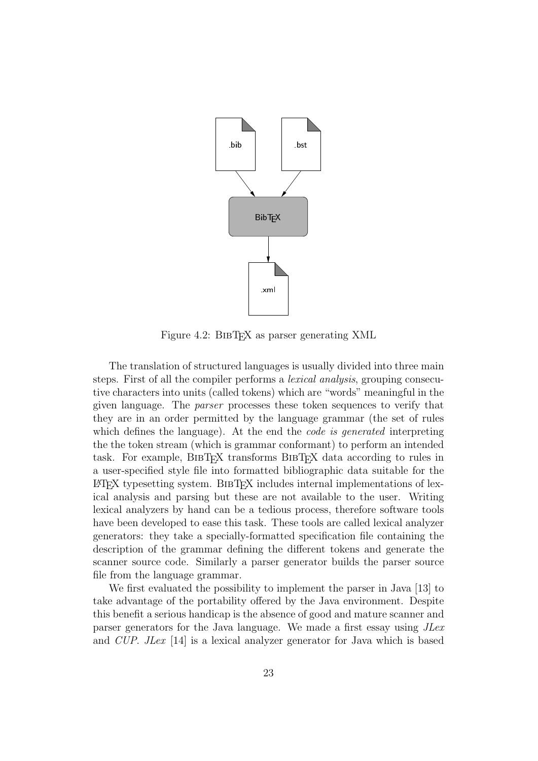

Figure 4.2: BIBT<sub>F</sub>X as parser generating XML

The translation of structured languages is usually divided into three main steps. First of all the compiler performs a lexical analysis, grouping consecutive characters into units (called tokens) which are "words" meaningful in the given language. The parser processes these token sequences to verify that they are in an order permitted by the language grammar (the set of rules which defines the language). At the end the *code is generated* interpreting the the token stream (which is grammar conformant) to perform an intended task. For example, BIBT<sub>EX</sub> transforms BIBT<sub>EX</sub> data according to rules in a user-specified style file into formatted bibliographic data suitable for the LATEX typesetting system. BibTEX includes internal implementations of lexical analysis and parsing but these are not available to the user. Writing lexical analyzers by hand can be a tedious process, therefore software tools have been developed to ease this task. These tools are called lexical analyzer generators: they take a specially-formatted specification file containing the description of the grammar defining the different tokens and generate the scanner source code. Similarly a parser generator builds the parser source file from the language grammar.

We first evaluated the possibility to implement the parser in Java [13] to take advantage of the portability offered by the Java environment. Despite this benefit a serious handicap is the absence of good and mature scanner and parser generators for the Java language. We made a first essay using JLex and CUP. JLex [14] is a lexical analyzer generator for Java which is based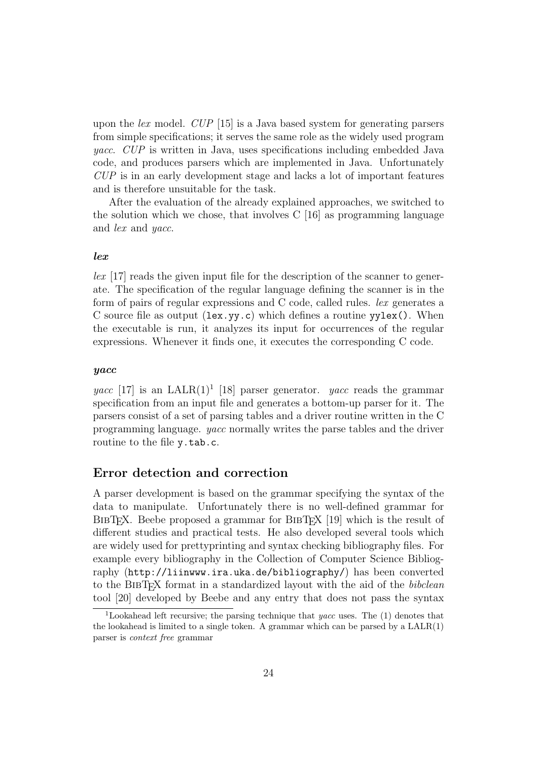upon the lex model. CUP [15] is a Java based system for generating parsers from simple specifications; it serves the same role as the widely used program yacc. CUP is written in Java, uses specifications including embedded Java code, and produces parsers which are implemented in Java. Unfortunately CUP is in an early development stage and lacks a lot of important features and is therefore unsuitable for the task.

After the evaluation of the already explained approaches, we switched to the solution which we chose, that involves  $C \left[16\right]$  as programming language and lex and yacc.

#### lex

lex [17] reads the given input file for the description of the scanner to generate. The specification of the regular language defining the scanner is in the form of pairs of regular expressions and C code, called rules. lex generates a C source file as output  $(\text{lex}.y, c)$  which defines a routine  $yylex()$ . When the executable is run, it analyzes its input for occurrences of the regular expressions. Whenever it finds one, it executes the corresponding C code.

#### yacc

yacc [17] is an LALR(1)<sup>1</sup> [18] parser generator. yacc reads the grammar specification from an input file and generates a bottom-up parser for it. The parsers consist of a set of parsing tables and a driver routine written in the C programming language. yacc normally writes the parse tables and the driver routine to the file y.tab.c.

#### Error detection and correction

A parser development is based on the grammar specifying the syntax of the data to manipulate. Unfortunately there is no well-defined grammar for BIBT<sub>EX</sub>. Beebe proposed a grammar for BIBT<sub>EX</sub> [19] which is the result of different studies and practical tests. He also developed several tools which are widely used for prettyprinting and syntax checking bibliography files. For example every bibliography in the Collection of Computer Science Bibliography (http://liinwww.ira.uka.de/bibliography/) has been converted to the BIBTEX format in a standardized layout with the aid of the *bibclean* tool [20] developed by Beebe and any entry that does not pass the syntax

<sup>1</sup>Lookahead left recursive; the parsing technique that yacc uses. The (1) denotes that the lookahead is limited to a single token. A grammar which can be parsed by a  $\text{LALR}(1)$ parser is context free grammar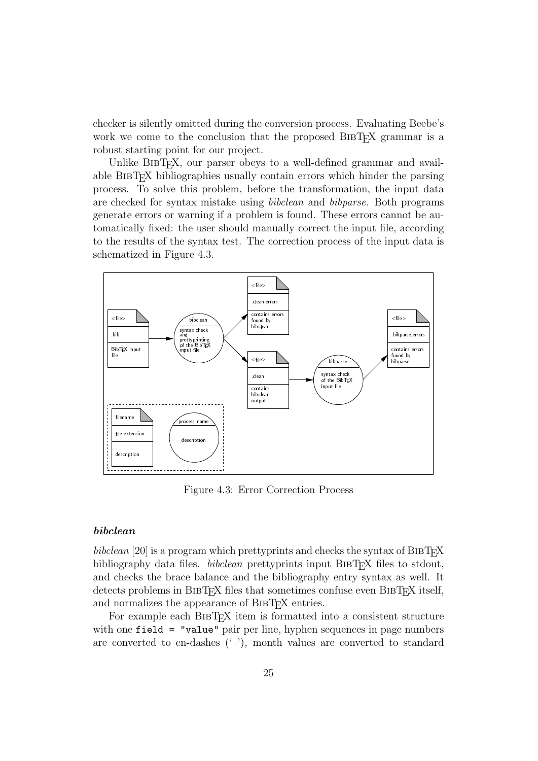checker is silently omitted during the conversion process. Evaluating Beebe's work we come to the conclusion that the proposed BIBT<sub>EX</sub> grammar is a robust starting point for our project.

Unlike BIBT<sub>EX</sub>, our parser obeys to a well-defined grammar and available BibTEX bibliographies usually contain errors which hinder the parsing process. To solve this problem, before the transformation, the input data are checked for syntax mistake using bibclean and bibparse. Both programs generate errors or warning if a problem is found. These errors cannot be automatically fixed: the user should manually correct the input file, according to the results of the syntax test. The correction process of the input data is schematized in Figure 4.3.



Figure 4.3: Error Correction Process

#### bibclean

bibclean  $[20]$  is a program which prettyprints and checks the syntax of BIBTEX bibliography data files. *bibclean* prettyprints input BIBT<sub>EX</sub> files to stdout, and checks the brace balance and the bibliography entry syntax as well. It detects problems in BIBT<sub>EX</sub> files that sometimes confuse even BIBT<sub>EX</sub> itself, and normalizes the appearance of BIBT<sub>F</sub>X entries.

For example each BIBT<sub>EX</sub> item is formatted into a consistent structure with one field = "value" pair per line, hyphen sequences in page numbers are converted to en-dashes  $(-')$ , month values are converted to standard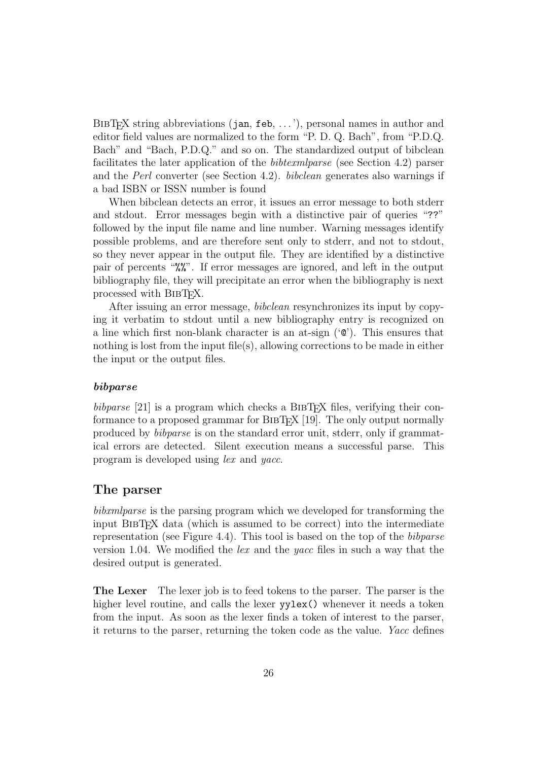$BIBT_FX$  string abbreviations (jan, feb, ...'), personal names in author and editor field values are normalized to the form "P. D. Q. Bach", from "P.D.Q. Bach" and "Bach, P.D.Q." and so on. The standardized output of bibclean facilitates the later application of the bibtexmlparse (see Section 4.2) parser and the Perl converter (see Section 4.2). bibclean generates also warnings if a bad ISBN or ISSN number is found

When bibclean detects an error, it issues an error message to both stderr and stdout. Error messages begin with a distinctive pair of queries "??" followed by the input file name and line number. Warning messages identify possible problems, and are therefore sent only to stderr, and not to stdout, so they never appear in the output file. They are identified by a distinctive pair of percents "%%". If error messages are ignored, and left in the output bibliography file, they will precipitate an error when the bibliography is next processed with BIBT<sub>EX</sub>.

After issuing an error message, *bibclean* resynchronizes its input by copying it verbatim to stdout until a new bibliography entry is recognized on a line which first non-blank character is an at-sign  $(°\mathbf{C})$ . This ensures that nothing is lost from the input file(s), allowing corrections to be made in either the input or the output files.

#### bibparse

bibparse [21] is a program which checks a BIBT<sub>EX</sub> files, verifying their conformance to a proposed grammar for BibTEX [19]. The only output normally produced by bibparse is on the standard error unit, stderr, only if grammatical errors are detected. Silent execution means a successful parse. This program is developed using lex and yacc.

#### The parser

bibxmlparse is the parsing program which we developed for transforming the input BibTEX data (which is assumed to be correct) into the intermediate representation (see Figure 4.4). This tool is based on the top of the bibparse version 1.04. We modified the *lex* and the *yacc* files in such a way that the desired output is generated.

The Lexer The lexer job is to feed tokens to the parser. The parser is the higher level routine, and calls the lexer yylex() whenever it needs a token from the input. As soon as the lexer finds a token of interest to the parser, it returns to the parser, returning the token code as the value. Yacc defines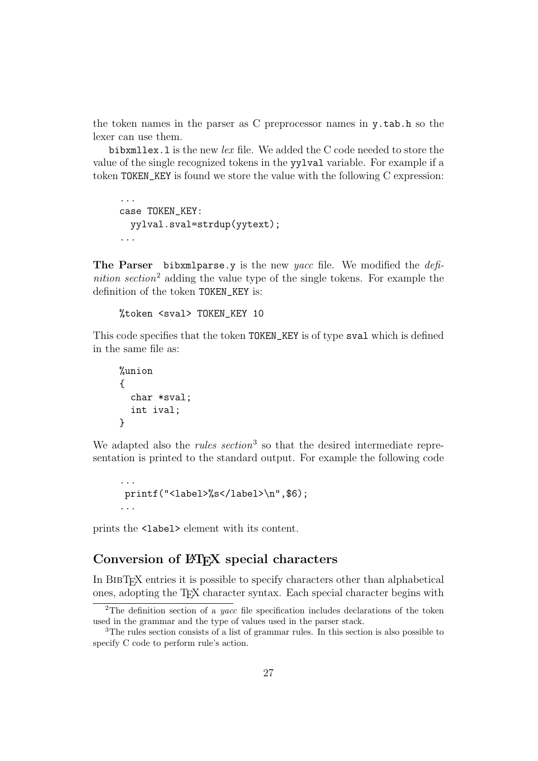the token names in the parser as C preprocessor names in y.tab.h so the lexer can use them.

bibxmllex. l is the new lex file. We added the C code needed to store the value of the single recognized tokens in the yylval variable. For example if a token TOKEN\_KEY is found we store the value with the following C expression:

```
...
case TOKEN_KEY:
 yylval.sval=strdup(yytext);
...
```
The Parser bibxmlparse. v is the new yacc file. We modified the  $def$ nition section<sup>2</sup> adding the value type of the single tokens. For example the definition of the token TOKEN\_KEY is:

```
%token <sval> TOKEN_KEY 10
```
This code specifies that the token TOKEN\_KEY is of type sval which is defined in the same file as:

```
%union
{
  char *sval;
  int ival;
}
```
We adapted also the *rules section*<sup>3</sup> so that the desired intermediate representation is printed to the standard output. For example the following code

```
...
printf("<label>%s</label>\n",$6);
...
```
prints the <label> element with its content.

#### Conversion of LAT<sub>EX</sub> special characters

In BibTEX entries it is possible to specify characters other than alphabetical ones, adopting the TEX character syntax. Each special character begins with

<sup>&</sup>lt;sup>2</sup>The definition section of a *yacc* file specification includes declarations of the token used in the grammar and the type of values used in the parser stack.

<sup>3</sup>The rules section consists of a list of grammar rules. In this section is also possible to specify C code to perform rule's action.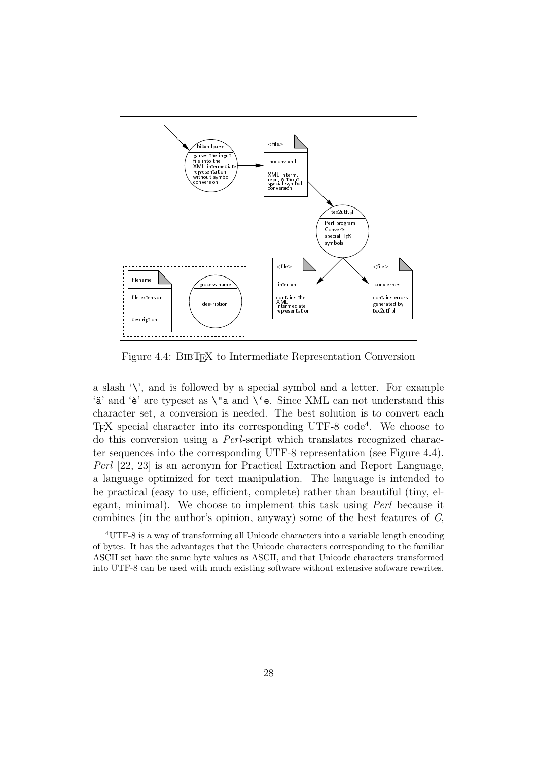

Figure 4.4: BIBT<sub>EX</sub> to Intermediate Representation Conversion

a slash  $\forall$ , and is followed by a special symbol and a letter. For example 'a' and 'è' are typeset as  $\iota$ " a and  $\iota$ ' e. Since XML can not understand this character set, a conversion is needed. The best solution is to convert each TEX special character into its corresponding UTF-8 code<sup>4</sup> . We choose to do this conversion using a Perl-script which translates recognized character sequences into the corresponding UTF-8 representation (see Figure 4.4). Perl [22, 23] is an acronym for Practical Extraction and Report Language, a language optimized for text manipulation. The language is intended to be practical (easy to use, efficient, complete) rather than beautiful (tiny, elegant, minimal). We choose to implement this task using Perl because it combines (in the author's opinion, anyway) some of the best features of C,

<sup>4</sup>UTF-8 is a way of transforming all Unicode characters into a variable length encoding of bytes. It has the advantages that the Unicode characters corresponding to the familiar ASCII set have the same byte values as ASCII, and that Unicode characters transformed into UTF-8 can be used with much existing software without extensive software rewrites.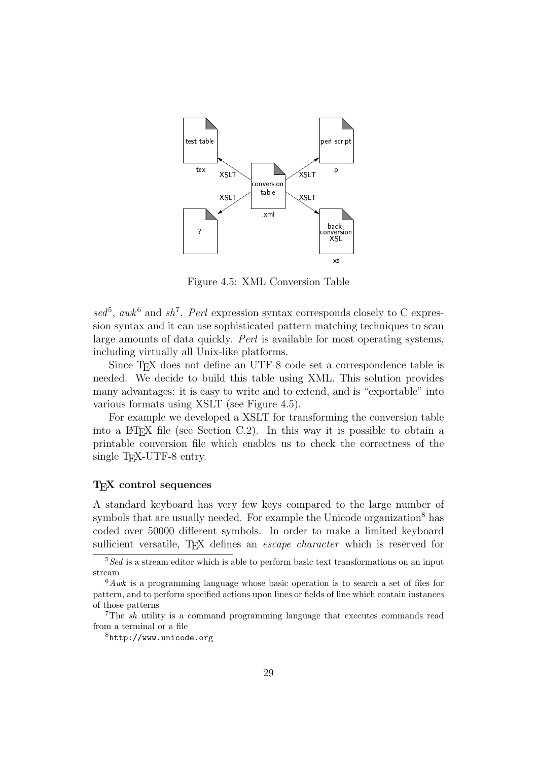

Figure 4.5: XML Conversion Table

 $\text{sed}^5$ , awk<sup>6</sup> and sh<sup>7</sup>. Perl expression syntax corresponds closely to C expression syntax and it can use sophisticated pattern matching techniques to scan large amounts of data quickly. Perl is available for most operating systems, including virtually all Unix-like platforms.

Since TEX does not define an UTF-8 code set a correspondence table is needed. We decide to build this table using XML. This solution provides many advantages: it is easy to write and to extend, and is "exportable" into various formats using XSLT (see Figure 4.5).

For example we developed a XSLT for transforming the conversion table into a  $\Delta F$ F<sub>K</sub>X file (see Section C.2). In this way it is possible to obtain a printable conversion file which enables us to check the correctness of the single T<sub>E</sub>X-UTF-8 entry.

#### T<sub>EX</sub> control sequences

A standard keyboard has very few keys compared to the large number of symbols that are usually needed. For example the Unicode organization<sup>8</sup> has coded over 50000 different symbols. In order to make a limited keyboard sufficient versatile, T<sub>EX</sub> defines an *escape character* which is reserved for

 $\sqrt[5]{\text{Sed}}$  is a stream editor which is able to perform basic text transformations on an input stream

 $6Awk$  is a programming language whose basic operation is to search a set of files for pattern, and to perform specified actions upon lines or fields of line which contain instances of those patterns

<sup>7</sup>The sh utility is a command programming language that executes commands read from a terminal or a file

<sup>8</sup>http://www.unicode.org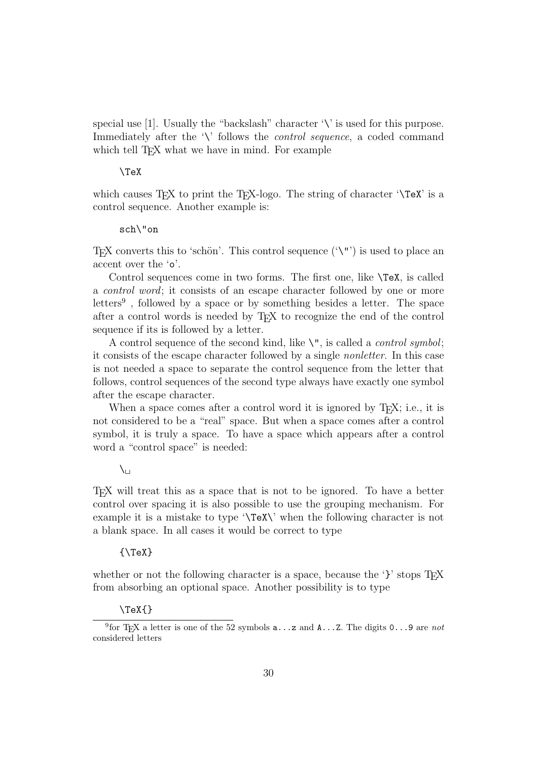special use  $[1]$ . Usually the "backslash" character '\' is used for this purpose. Immediately after the '\' follows the *control sequence*, a coded command which tell T<sub>EX</sub> what we have in mind. For example

#### \TeX

which causes  $T_{FX}$  to print the  $T_{FX}$ -logo. The string of character  $\Gamma$ control sequence. Another example is:

#### sch\"on

TEX converts this to 'schön'. This control sequence  $(\Upsilon')$  is used to place an accent over the 'o'.

Control sequences come in two forms. The first one, like \TeX, is called a control word; it consists of an escape character followed by one or more letters<sup>9</sup>, followed by a space or by something besides a letter. The space after a control words is needed by TEX to recognize the end of the control sequence if its is followed by a letter.

A control sequence of the second kind, like  $\Upsilon$ , is called a *control symbol*; it consists of the escape character followed by a single nonletter. In this case is not needed a space to separate the control sequence from the letter that follows, control sequences of the second type always have exactly one symbol after the escape character.

When a space comes after a control word it is ignored by T<sub>EX</sub>; i.e., it is not considered to be a "real" space. But when a space comes after a control symbol, it is truly a space. To have a space which appears after a control word a "control space" is needed:

#### $\chi_{\square}$

TEX will treat this as a space that is not to be ignored. To have a better control over spacing it is also possible to use the grouping mechanism. For example it is a mistake to type '\TeX\' when the following character is not a blank space. In all cases it would be correct to type

#### ${\rm \{Y\}}$

whether or not the following character is a space, because the ' $\}$ ' stops T<sub>E</sub>X from absorbing an optional space. Another possibility is to type

#### $\{$   $\}$

<sup>&</sup>lt;sup>9</sup> for T<sub>E</sub>X a letter is one of the 52 symbols  $a...z$  and  $A...z$ . The digits  $0...9$  are not considered letters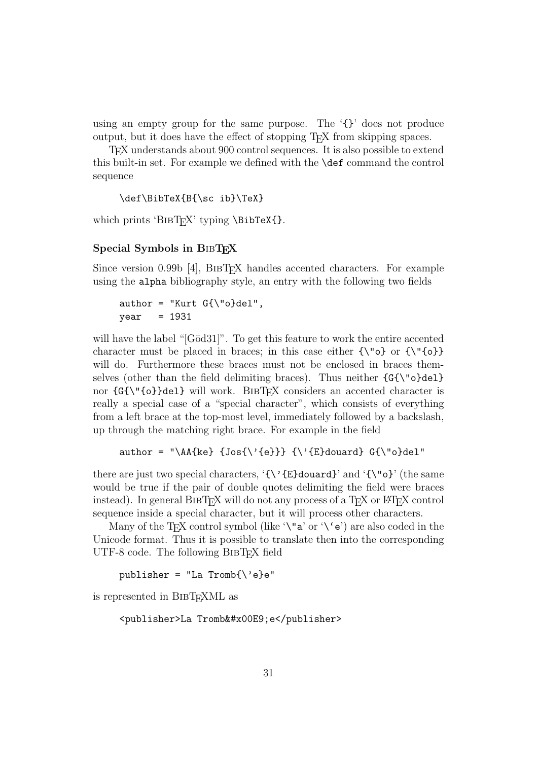using an empty group for the same purpose. The  $\{ \}$  does not produce output, but it does have the effect of stopping TEX from skipping spaces.

TEX understands about 900 control sequences. It is also possible to extend this built-in set. For example we defined with the \def command the control sequence

```
\def\BibTeX{B{\sc ib}\TeX}
```
which prints 'BIBT<sub>EX</sub>' typing \BibTeX{}.

#### Special Symbols in BIBT<sub>EX</sub>

Since version  $0.99b$  [4], BIBT<sub>EX</sub> handles accented characters. For example using the alpha bibliography style, an entry with the following two fields

```
author = "Kurt G{\varepsilon}"o}del",
year = 1931
```
will have the label "[Göd31]". To get this feature to work the entire accented character must be placed in braces; in this case either  $\{\'$  of  $\{\'$  {o}} will do. Furthermore these braces must not be enclosed in braces themselves (other than the field delimiting braces). Thus neither  $\{G\}\$  o}del} nor  $\{G\}\$ del} will work. BIBTFX considers an accented character is really a special case of a "special character", which consists of everything from a left brace at the top-most level, immediately followed by a backslash, up through the matching right brace. For example in the field

```
author = "\AA{ke} {Jos{\'{e}}} {\'{E}douard} G{\"o}del"
```
there are just two special characters,  $\{\{\check{C}\}\}\$ douard $\}$ ' and  $\{\check{C}\}\$ ' (the same would be true if the pair of double quotes delimiting the field were braces instead). In general BIBTEX will do not any process of a TEX or L<sup>AT</sup>EX control sequence inside a special character, but it will process other characters.

Many of the T<sub>E</sub>X control symbol (like  $\forall$ "a' or  $\forall$  e') are also coded in the Unicode format. Thus it is possible to translate then into the corresponding UTF-8 code. The following BIBT<sub>EX</sub> field

publisher = "La Tromb{ $\backslash$ 'e}e"

is represented in BibTEXML as

```
<publisher>La Tromb&#x00E9;e</publisher>
```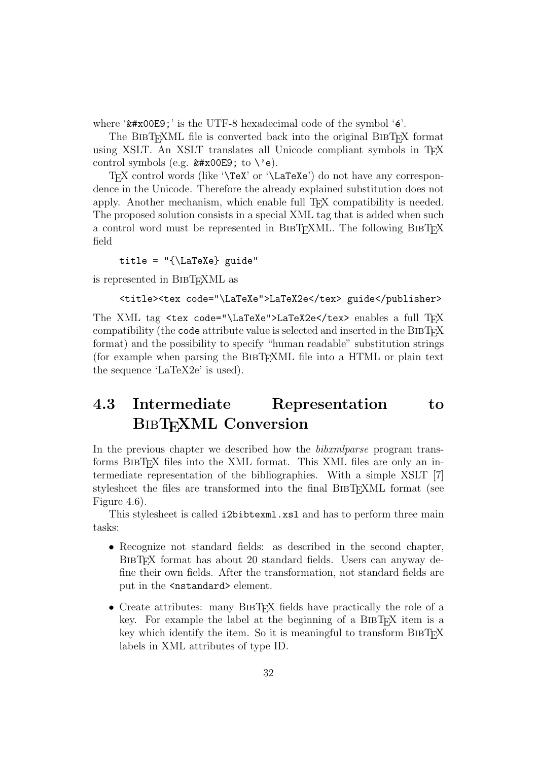where  $\forall x \neq 0$  is the UTF-8 hexadecimal code of the symbol  $\forall \epsilon'$ .

The BIBT<sub>E</sub>XML file is converted back into the original BIBT<sub>E</sub>X format using XSLT. An XSLT translates all Unicode compliant symbols in TFX control symbols (e.g.  $\&\#x00E9$ ; to  $\&e$ ).

T<sub>EX</sub> control words (like '\TeX' or '\LaTeXe') do not have any correspondence in the Unicode. Therefore the already explained substitution does not apply. Another mechanism, which enable full T<sub>E</sub>X compatibility is needed. The proposed solution consists in a special XML tag that is added when such a control word must be represented in BIBT<sub>EX</sub>ML. The following BIBT<sub>EX</sub> field

title =  $\{\text{L} \$  guide"

is represented in BibTEXML as

```
<title><tex code="\LaTeXe">LaTeX2e</tex> guide</publisher>
```
The XML tag <tex code="\LaTeXe">LaTeX2e</tex> enables a full TFX compatibility (the code attribute value is selected and inserted in the BIBT<sub>EX</sub> format) and the possibility to specify "human readable" substitution strings (for example when parsing the BibTEXML file into a HTML or plain text the sequence 'LaTeX2e' is used).

## 4.3 Intermediate Representation to BIBTEXML Conversion

In the previous chapter we described how the *bibxmlparse* program transforms BibTEX files into the XML format. This XML files are only an intermediate representation of the bibliographies. With a simple XSLT [7] stylesheet the files are transformed into the final BIBT<sub>EXML</sub> format (see Figure 4.6).

This stylesheet is called i2bibtexml.xsl and has to perform three main tasks:

- Recognize not standard fields: as described in the second chapter, BIBT<sub>EX</sub> format has about 20 standard fields. Users can anyway define their own fields. After the transformation, not standard fields are put in the <nstandard> element.
- Create attributes: many BIBT<sub>EX</sub> fields have practically the role of a key. For example the label at the beginning of a BIBT<sub>EX</sub> item is a key which identify the item. So it is meaningful to transform BibTEX labels in XML attributes of type ID.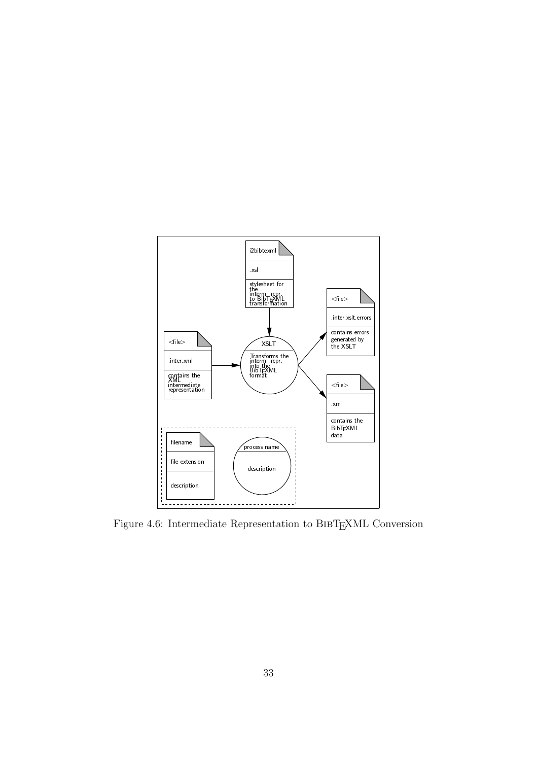

Figure 4.6: Intermediate Representation to BibTEXML Conversion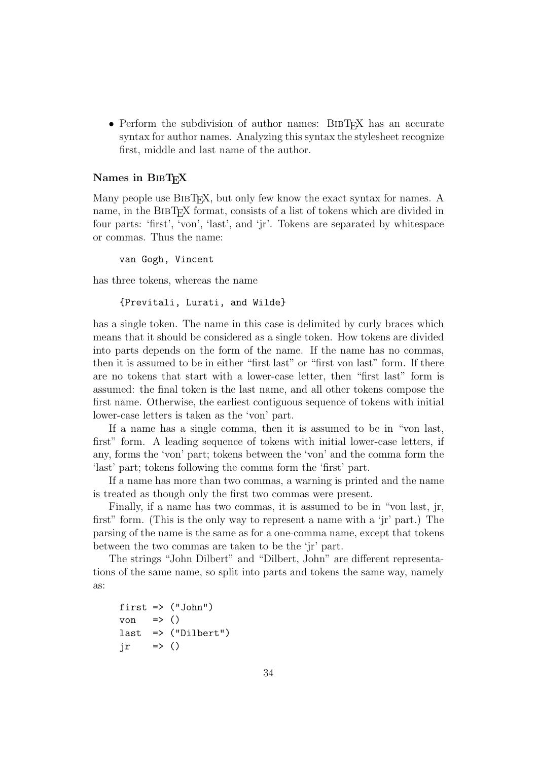• Perform the subdivision of author names: BIBT<sub>EX</sub> has an accurate syntax for author names. Analyzing this syntax the stylesheet recognize first, middle and last name of the author.

#### Names in BIBTFX

Many people use BIBT<sub>EX</sub>, but only few know the exact syntax for names. A name, in the BIBT<sub>EX</sub> format, consists of a list of tokens which are divided in four parts: 'first', 'von', 'last', and 'jr'. Tokens are separated by whitespace or commas. Thus the name:

van Gogh, Vincent

has three tokens, whereas the name

```
{Previtali, Lurati, and Wilde}
```
has a single token. The name in this case is delimited by curly braces which means that it should be considered as a single token. How tokens are divided into parts depends on the form of the name. If the name has no commas, then it is assumed to be in either "first last" or "first von last" form. If there are no tokens that start with a lower-case letter, then "first last" form is assumed: the final token is the last name, and all other tokens compose the first name. Otherwise, the earliest contiguous sequence of tokens with initial lower-case letters is taken as the 'von' part.

If a name has a single comma, then it is assumed to be in "von last, first" form. A leading sequence of tokens with initial lower-case letters, if any, forms the 'von' part; tokens between the 'von' and the comma form the 'last' part; tokens following the comma form the 'first' part.

If a name has more than two commas, a warning is printed and the name is treated as though only the first two commas were present.

Finally, if a name has two commas, it is assumed to be in "von last, jr, first" form. (This is the only way to represent a name with a 'jr' part.) The parsing of the name is the same as for a one-comma name, except that tokens between the two commas are taken to be the 'jr' part.

The strings "John Dilbert" and "Dilbert, John" are different representations of the same name, so split into parts and tokens the same way, namely as:

```
first => ("John")
von \Rightarrow ()
last => ("Dilbert")
jr \t \Rightarrow ()
```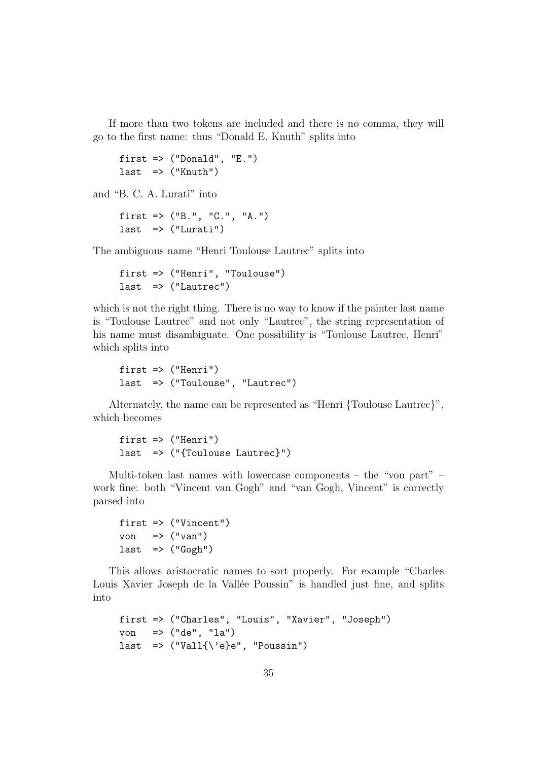If more than two tokens are included and there is no comma, they will go to the first name: thus "Donald E. Knuth" splits into

```
first \Rightarrow ("Donald", "E.")
last => ("Knuth")
```
and "B. C. A. Lurati" into

```
first => ("B.", "C.", "A.")
last => ("Lurati")
```
The ambiguous name "Henri Toulouse Lautrec" splits into

```
first => ("Henri", "Toulouse")
last => ("Lautrec")
```
which is not the right thing. There is no way to know if the painter last name is "Toulouse Lautrec" and not only "Lautrec", the string representation of his name must disambiguate. One possibility is "Toulouse Lautrec, Henri" which splits into

```
first => ("Henri")
last => ("Toulouse", "Lautrec")
```
Alternately, the name can be represented as "Henri {Toulouse Lautrec}", which becomes

```
first => ("Henri")
last => ("{Toulouse Lautrec}")
```
Multi-token last names with lowercase components – the "von part" – work fine: both "Vincent van Gogh" and "van Gogh, Vincent" is correctly parsed into

```
first => ("Vincent")
von \Rightarrow ("van")last => ("Gogh")
```
This allows aristocratic names to sort properly. For example "Charles Louis Xavier Joseph de la Vallée Poussin" is handled just fine, and splits into

```
first => ("Charles", "Louis", "Xavier", "Joseph")
von => ("de", "la")
last \Rightarrow ("Vall{\'e}e", "Poussin")
```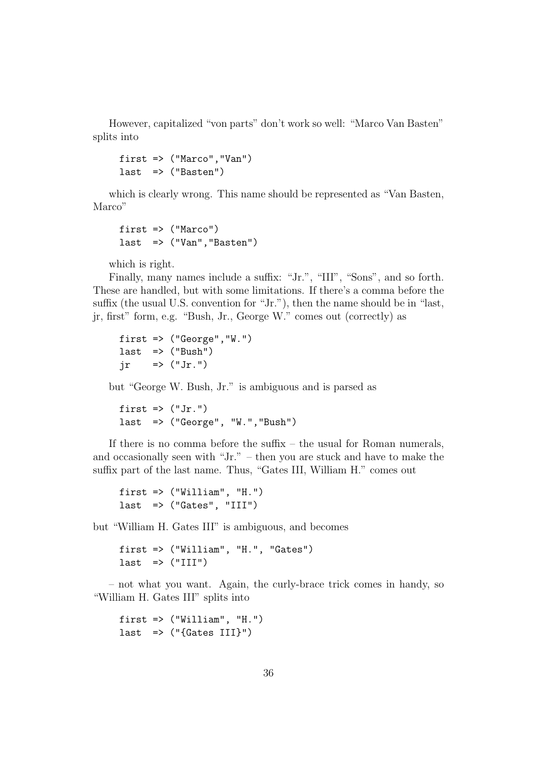However, capitalized "von parts" don't work so well: "Marco Van Basten" splits into

```
first => ("Marco","Van")
last => ("Basten")
```
which is clearly wrong. This name should be represented as "Van Basten, Marco"

```
first => ("Marco")
last => ("Van", "Basten")
```
which is right.

Finally, many names include a suffix: "Jr.", "III", "Sons", and so forth. These are handled, but with some limitations. If there's a comma before the suffix (the usual U.S. convention for "Jr."), then the name should be in "last, jr, first" form, e.g. "Bush, Jr., George W." comes out (correctly) as

first  $\Rightarrow$  ("George", "W.")  $last$  => ("Bush")  $ir \Rightarrow ("Jr.")$ 

but "George W. Bush, Jr." is ambiguous and is parsed as

first  $\Rightarrow$  ("Jr.") last => ("George", "W.","Bush")

If there is no comma before the suffix – the usual for Roman numerals, and occasionally seen with "Jr." – then you are stuck and have to make the suffix part of the last name. Thus, "Gates III, William H." comes out

```
first \Rightarrow ("William", "H.")
last => ("Gates", "III")
```
but "William H. Gates III" is ambiguous, and becomes

first => ("William", "H.", "Gates")  $last$  =>  $('III'')$ 

– not what you want. Again, the curly-brace trick comes in handy, so "William H. Gates III" splits into

first  $\Rightarrow$  ("William", "H.") last  $\Rightarrow$  ("{Gates III}")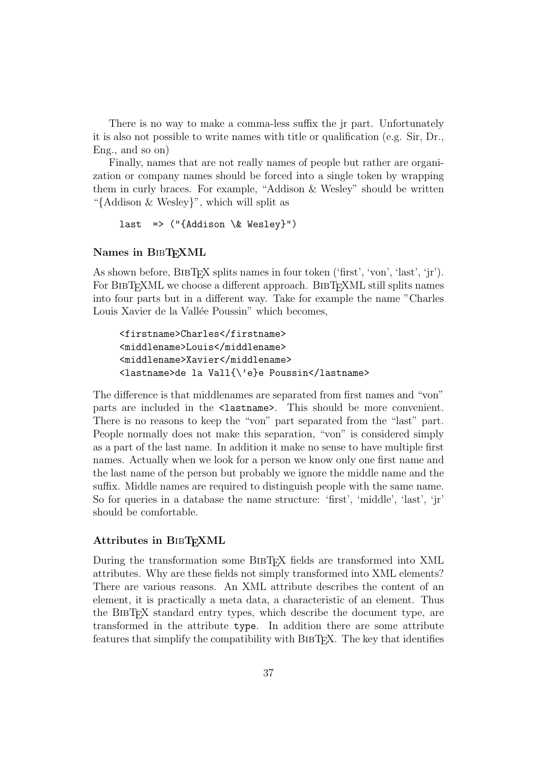There is no way to make a comma-less suffix the jr part. Unfortunately it is also not possible to write names with title or qualification (e.g. Sir, Dr., Eng., and so on)

Finally, names that are not really names of people but rather are organization or company names should be forced into a single token by wrapping them in curly braces. For example, "Addison & Wesley" should be written "{Addison & Wesley}", which will split as

```
last => (\sqrt[n]{Addison} \& Wesley}")
```
#### Names in BIBTEXML

As shown before,  $BIBTFX$  splits names in four token ('first', 'von', 'last', 'jr'). For BIBT<sub>EXML</sub> we choose a different approach. BIBT<sub>EXML</sub> still splits names into four parts but in a different way. Take for example the name "Charles Louis Xavier de la Vallée Poussin" which becomes,

```
<firstname>Charles</firstname>
<middlename>Louis</middlename>
<middlename>Xavier</middlename>
<lastname>de la Vall{\'e}e Poussin</lastname>
```
The difference is that middlenames are separated from first names and "von" parts are included in the <lastname>. This should be more convenient. There is no reasons to keep the "von" part separated from the "last" part. People normally does not make this separation, "von" is considered simply as a part of the last name. In addition it make no sense to have multiple first names. Actually when we look for a person we know only one first name and the last name of the person but probably we ignore the middle name and the suffix. Middle names are required to distinguish people with the same name. So for queries in a database the name structure: 'first', 'middle', 'last', 'jr' should be comfortable.

#### Attributes in BIBT<sub>F</sub>XML

During the transformation some BIBT<sub>EX</sub> fields are transformed into XML attributes. Why are these fields not simply transformed into XML elements? There are various reasons. An XML attribute describes the content of an element, it is practically a meta data, a characteristic of an element. Thus the BibTEX standard entry types, which describe the document type, are transformed in the attribute type. In addition there are some attribute features that simplify the compatibility with BIBT<sub>EX</sub>. The key that identifies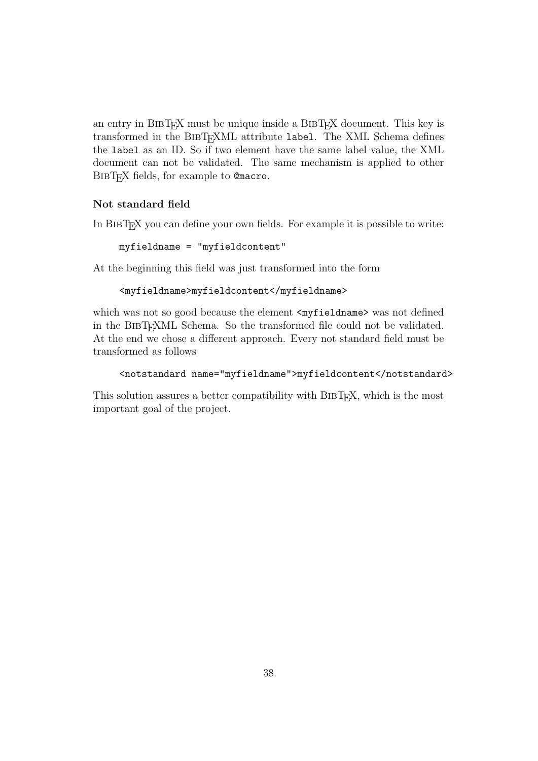an entry in BIBTEX must be unique inside a BIBTEX document. This key is transformed in the BibTEXML attribute label. The XML Schema defines the label as an ID. So if two element have the same label value, the XML document can not be validated. The same mechanism is applied to other BIBTEX fields, for example to @macro.

#### Not standard field

In BIBTEX you can define your own fields. For example it is possible to write:

```
myfieldname = "myfieldcontent"
```
At the beginning this field was just transformed into the form

#### <myfieldname>myfieldcontent</myfieldname>

which was not so good because the element <myfieldname> was not defined in the BibTEXML Schema. So the transformed file could not be validated. At the end we chose a different approach. Every not standard field must be transformed as follows

```
<notstandard name="myfieldname">myfieldcontent</notstandard>
```
This solution assures a better compatibility with BIBT<sub>EX</sub>, which is the most important goal of the project.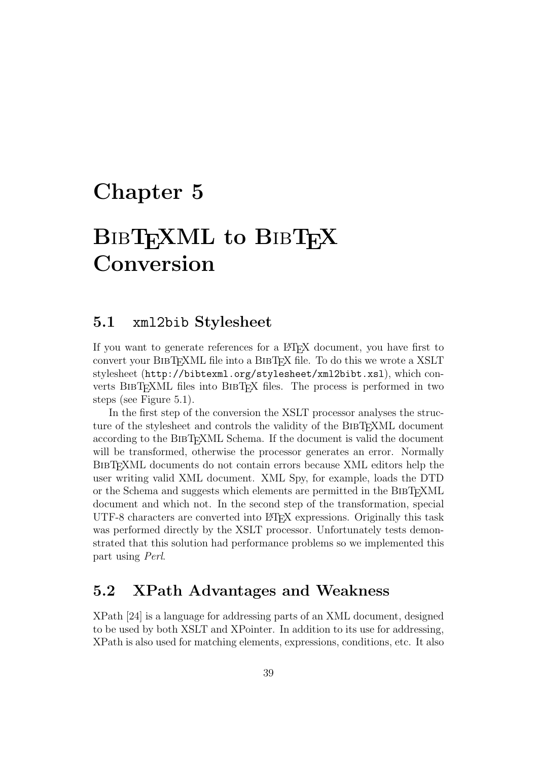# Chapter 5

# BIBTEXML to BIBTEX Conversion

### 5.1 xml2bib Stylesheet

If you want to generate references for a LAT<sub>EX</sub> document, you have first to convert your BibTEXML file into a BibTEX file. To do this we wrote a XSLT stylesheet (http://bibtexml.org/stylesheet/xml2bibt.xsl), which converts BIBT<sub>EX</sub>ML files into BIBT<sub>EX</sub> files. The process is performed in two steps (see Figure 5.1).

In the first step of the conversion the XSLT processor analyses the structure of the stylesheet and controls the validity of the BIBT<sub>EXML</sub> document according to the BIBT<sub>EX</sub>ML Schema. If the document is valid the document will be transformed, otherwise the processor generates an error. Normally BibTEXML documents do not contain errors because XML editors help the user writing valid XML document. XML Spy, for example, loads the DTD or the Schema and suggests which elements are permitted in the BibTEXML document and which not. In the second step of the transformation, special UTF-8 characters are converted into LATEX expressions. Originally this task was performed directly by the XSLT processor. Unfortunately tests demonstrated that this solution had performance problems so we implemented this part using Perl.

## 5.2 XPath Advantages and Weakness

XPath [24] is a language for addressing parts of an XML document, designed to be used by both XSLT and XPointer. In addition to its use for addressing, XPath is also used for matching elements, expressions, conditions, etc. It also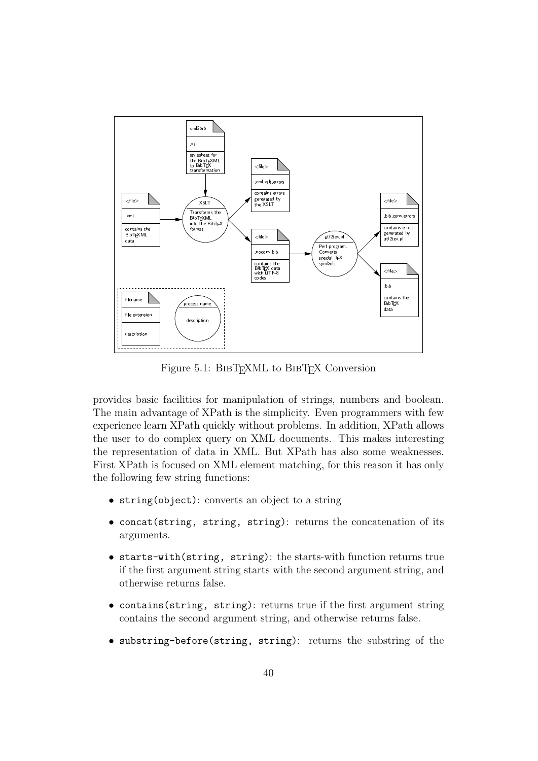

Figure 5.1: BIBTEXML to BIBTEX Conversion

provides basic facilities for manipulation of strings, numbers and boolean. The main advantage of XPath is the simplicity. Even programmers with few experience learn XPath quickly without problems. In addition, XPath allows the user to do complex query on XML documents. This makes interesting the representation of data in XML. But XPath has also some weaknesses. First XPath is focused on XML element matching, for this reason it has only the following few string functions:

- string(object): converts an object to a string
- concat(string, string, string): returns the concatenation of its arguments.
- starts-with(string, string): the starts-with function returns true if the first argument string starts with the second argument string, and otherwise returns false.
- contains(string, string): returns true if the first argument string contains the second argument string, and otherwise returns false.
- substring-before(string, string): returns the substring of the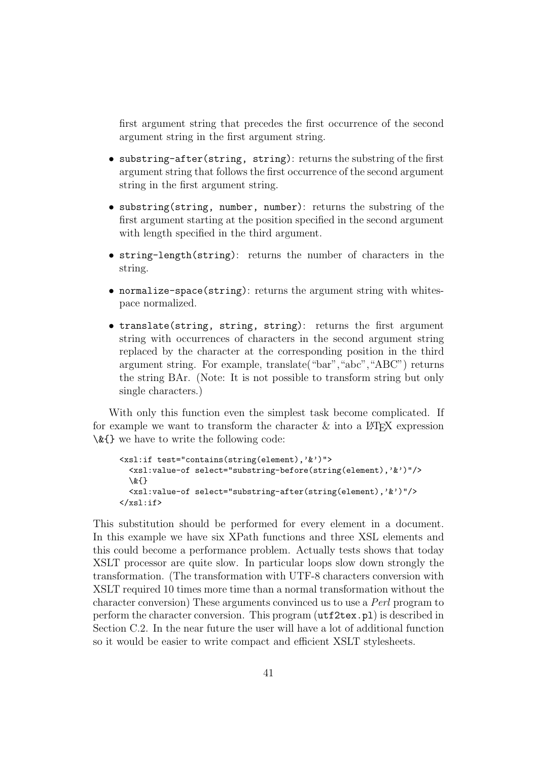first argument string that precedes the first occurrence of the second argument string in the first argument string.

- substring-after(string, string): returns the substring of the first argument string that follows the first occurrence of the second argument string in the first argument string.
- substring(string, number, number): returns the substring of the first argument starting at the position specified in the second argument with length specified in the third argument.
- string-length(string): returns the number of characters in the string.
- normalize-space(string): returns the argument string with whitespace normalized.
- translate(string, string, string): returns the first argument string with occurrences of characters in the second argument string replaced by the character at the corresponding position in the third argument string. For example, translate("bar","abc","ABC") returns the string BAr. (Note: It is not possible to transform string but only single characters.)

With only this function even the simplest task become complicated. If for example we want to transform the character  $\&$  into a  $\&$ FFX expression \&{} we have to write the following code:

```
<xsl:if test="contains(string(element),'&')">
  <xsl:value-of select="substring-before(string(element),'&')"/>
  \&{}
  <xsl:value-of select="substring-after(string(element),'&')"/>
\langle xsl:if\rangle
```
This substitution should be performed for every element in a document. In this example we have six XPath functions and three XSL elements and this could become a performance problem. Actually tests shows that today XSLT processor are quite slow. In particular loops slow down strongly the transformation. (The transformation with UTF-8 characters conversion with XSLT required 10 times more time than a normal transformation without the character conversion) These arguments convinced us to use a Perl program to perform the character conversion. This program (utf2tex.pl) is described in Section C.2. In the near future the user will have a lot of additional function so it would be easier to write compact and efficient XSLT stylesheets.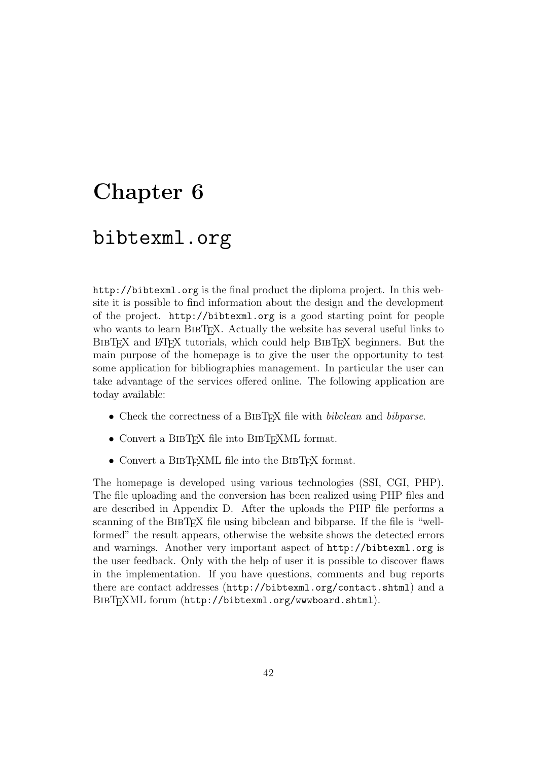# Chapter 6

## bibtexml.org

http://bibtexml.org is the final product the diploma project. In this website it is possible to find information about the design and the development of the project. http://bibtexml.org is a good starting point for people who wants to learn BIBT<sub>EX</sub>. Actually the website has several useful links to BIBT<sub>EX</sub> and LATEX tutorials, which could help BIBTEX beginners. But the main purpose of the homepage is to give the user the opportunity to test some application for bibliographies management. In particular the user can take advantage of the services offered online. The following application are today available:

- Check the correctness of a BIBT<sub>E</sub>X file with *bibclean* and *bibparse*.
- Convert a BIBT<sub>EX</sub> file into BIBT<sub>EX</sub>ML format.
- Convert a BIBTEXML file into the BIBTEX format.

The homepage is developed using various technologies (SSI, CGI, PHP). The file uploading and the conversion has been realized using PHP files and are described in Appendix D. After the uploads the PHP file performs a scanning of the BIBT<sub>EX</sub> file using bibclean and bibparse. If the file is "wellformed" the result appears, otherwise the website shows the detected errors and warnings. Another very important aspect of http://bibtexml.org is the user feedback. Only with the help of user it is possible to discover flaws in the implementation. If you have questions, comments and bug reports there are contact addresses (http://bibtexml.org/contact.shtml) and a BIBT<sub>F</sub>XML forum (http://bibtexml.org/wwwboard.shtml).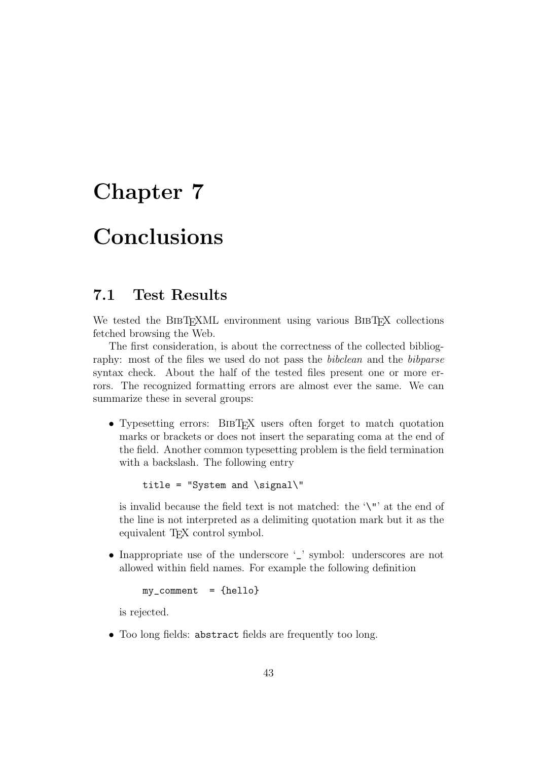# Chapter 7

# Conclusions

## 7.1 Test Results

We tested the BIBTEXML environment using various BIBTEX collections fetched browsing the Web.

The first consideration, is about the correctness of the collected bibliography: most of the files we used do not pass the *bibclean* and the *bibparse* syntax check. About the half of the tested files present one or more errors. The recognized formatting errors are almost ever the same. We can summarize these in several groups:

• Typesetting errors: BIBT<sub>EX</sub> users often forget to match quotation marks or brackets or does not insert the separating coma at the end of the field. Another common typesetting problem is the field termination with a backslash. The following entry

title = "System and  $\sigma$ 

is invalid because the field text is not matched: the '\"' at the end of the line is not interpreted as a delimiting quotation mark but it as the equivalent T<sub>EX</sub> control symbol.

• Inappropriate use of the underscore '\_' symbol: underscores are not allowed within field names. For example the following definition

```
my\_comment = {hello}
```
is rejected.

• Too long fields: abstract fields are frequently too long.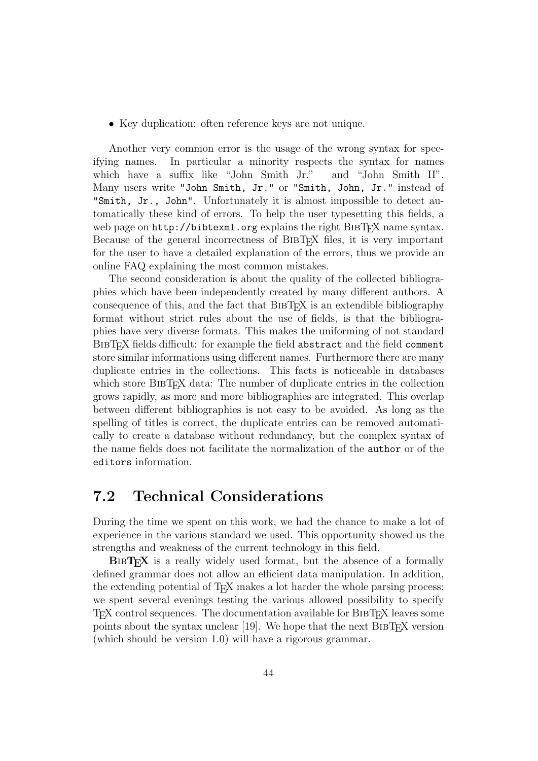• Key duplication: often reference keys are not unique.

Another very common error is the usage of the wrong syntax for specifying names. In particular a minority respects the syntax for names which have a suffix like "John Smith Jr." and "John Smith II". Many users write "John Smith, Jr." or "Smith, John, Jr." instead of "Smith, Jr., John". Unfortunately it is almost impossible to detect automatically these kind of errors. To help the user typesetting this fields, a web page on http://bibtexml.org explains the right BIBT<sub>EX</sub> name syntax. Because of the general incorrectness of BibTEX files, it is very important for the user to have a detailed explanation of the errors, thus we provide an online FAQ explaining the most common mistakes.

The second consideration is about the quality of the collected bibliographies which have been independently created by many different authors. A consequence of this, and the fact that BibTEX is an extendible bibliography format without strict rules about the use of fields, is that the bibliographies have very diverse formats. This makes the uniforming of not standard BIBT<sub>EX</sub> fields difficult: for example the field abstract and the field comment store similar informations using different names. Furthermore there are many duplicate entries in the collections. This facts is noticeable in databases which store BIBT<sub>E</sub>X data: The number of duplicate entries in the collection grows rapidly, as more and more bibliographies are integrated. This overlap between different bibliographies is not easy to be avoided. As long as the spelling of titles is correct, the duplicate entries can be removed automatically to create a database without redundancy, but the complex syntax of the name fields does not facilitate the normalization of the author or of the editors information.

## 7.2 Technical Considerations

During the time we spent on this work, we had the chance to make a lot of experience in the various standard we used. This opportunity showed us the strengths and weakness of the current technology in this field.

BIBT<sub>EX</sub> is a really widely used format, but the absence of a formally defined grammar does not allow an efficient data manipulation. In addition, the extending potential of T<sub>F</sub>X makes a lot harder the whole parsing process: we spent several evenings testing the various allowed possibility to specify TEX control sequences. The documentation available for BibTEX leaves some points about the syntax unclear  $[19]$ . We hope that the next BIBT<sub>EX</sub> version (which should be version 1.0) will have a rigorous grammar.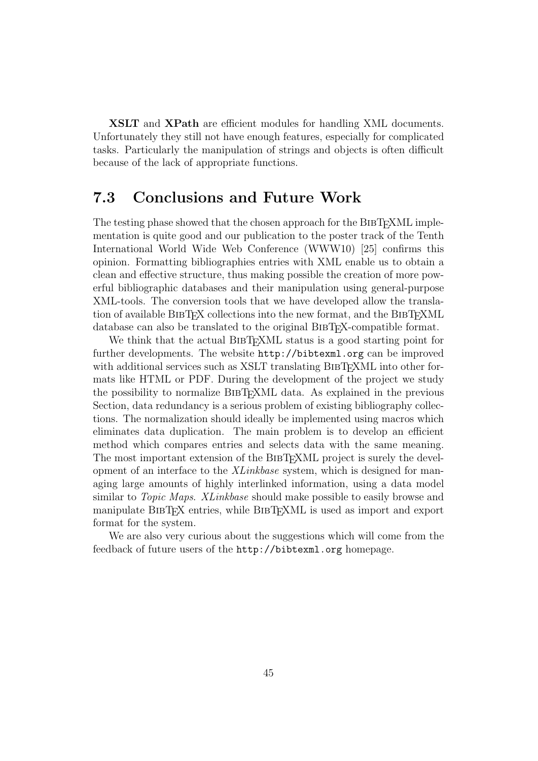XSLT and XPath are efficient modules for handling XML documents. Unfortunately they still not have enough features, especially for complicated tasks. Particularly the manipulation of strings and objects is often difficult because of the lack of appropriate functions.

## 7.3 Conclusions and Future Work

The testing phase showed that the chosen approach for the BIBTEXML implementation is quite good and our publication to the poster track of the Tenth International World Wide Web Conference (WWW10) [25] confirms this opinion. Formatting bibliographies entries with XML enable us to obtain a clean and effective structure, thus making possible the creation of more powerful bibliographic databases and their manipulation using general-purpose XML-tools. The conversion tools that we have developed allow the translation of available BIBTEX collections into the new format, and the BIBTEXML database can also be translated to the original BIBT<sub>EX</sub>-compatible format.

We think that the actual BIBTEXML status is a good starting point for further developments. The website http://bibtexml.org can be improved with additional services such as XSLT translating BIBT<sub>EX</sub>ML into other formats like HTML or PDF. During the development of the project we study the possibility to normalize BibTEXML data. As explained in the previous Section, data redundancy is a serious problem of existing bibliography collections. The normalization should ideally be implemented using macros which eliminates data duplication. The main problem is to develop an efficient method which compares entries and selects data with the same meaning. The most important extension of the BIBT<sub>EX</sub>ML project is surely the development of an interface to the XLinkbase system, which is designed for managing large amounts of highly interlinked information, using a data model similar to *Topic Maps. XLinkbase* should make possible to easily browse and manipulate BibTEX entries, while BibTEXML is used as import and export format for the system.

We are also very curious about the suggestions which will come from the feedback of future users of the http://bibtexml.org homepage.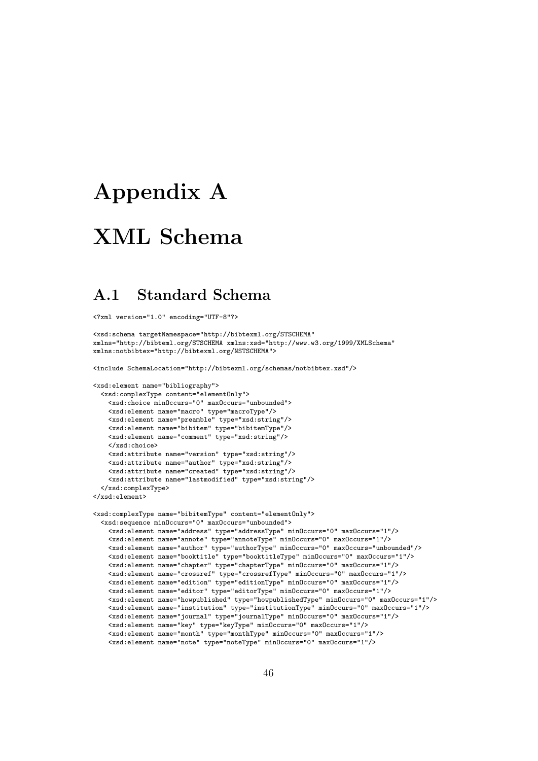# Appendix A

# XML Schema

## A.1 Standard Schema

<?xml version="1.0" encoding="UTF-8"?>

```
<xsd:schema targetNamespace="http://bibtexml.org/STSCHEMA"
xmlns="http://bibteml.org/STSCHEMA xmlns:xsd="http://www.w3.org/1999/XMLSchema"
xmlns:notbibtex="http://bibtexml.org/NSTSCHEMA">
```
<include SchemaLocation="http://bibtexml.org/schemas/notbibtex.xsd"/>

```
<xsd:element name="bibliography">
 <xsd:complexType content="elementOnly">
   <xsd:choice minOccurs="0" maxOccurs="unbounded">
   <xsd:element name="macro" type="macroType"/>
   <xsd:element name="preamble" type="xsd:string"/>
   <xsd:element name="bibitem" type="bibitemType"/>
   <xsd:element name="comment" type="xsd:string"/>
   </xsd:choice>
   <xsd:attribute name="version" type="xsd:string"/>
   <xsd:attribute name="author" type="xsd:string"/>
   <xsd:attribute name="created" type="xsd:string"/>
   <xsd:attribute name="lastmodified" type="xsd:string"/>
 </xsd:complexType>
</xsd:element>
<xsd:complexType name="bibitemType" content="elementOnly">
 <xsd:sequence minOccurs="0" maxOccurs="unbounded">
   <xsd:element name="address" type="addressType" minOccurs="0" maxOccurs="1"/>
   <xsd:element name="annote" type="annoteType" minOccurs="0" maxOccurs="1"/>
   <xsd:element name="author" type="authorType" minOccurs="0" maxOccurs="unbounded"/>
   <xsd:element name="booktitle" type="booktitleType" minOccurs="0" maxOccurs="1"/>
   <xsd:element name="chapter" type="chapterType" minOccurs="0" maxOccurs="1"/>
```
<xsd:element name="crossref" type="crossrefType" minOccurs="0" maxOccurs="1"/> <xsd:element name="edition" type="editionType" minOccurs="0" maxOccurs="1"/> <xsd:element name="editor" type="editorType" minOccurs="0" maxOccurs="1"/> <xsd:element name="howpublished" type="howpublishedType" minOccurs="0" maxOccurs="1"/> <xsd:element name="institution" type="institutionType" minOccurs="0" maxOccurs="1"/> <xsd:element name="journal" type="journalType" minOccurs="0" maxOccurs="1"/> <xsd:element name="key" type="keyType" minOccurs="0" maxOccurs="1"/> <xsd:element name="month" type="monthType" minOccurs="0" maxOccurs="1"/> <xsd:element name="note" type="noteType" minOccurs="0" maxOccurs="1"/>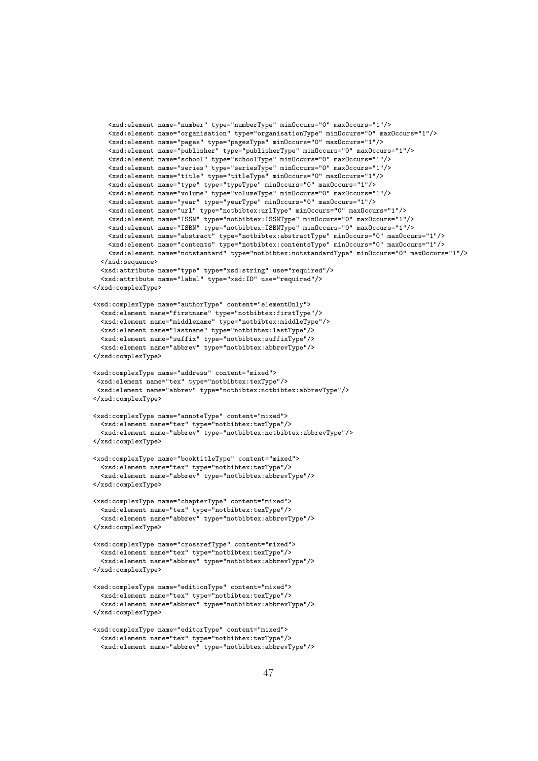```
<xsd:element name="number" type="numberType" minOccurs="0" maxOccurs="1"/>
    <xsd:element name="organisation" type="organisationType" minOccurs="0" maxOccurs="1"/>
    <xsd:element name="pages" type="pagesType" minOccurs="0" maxOccurs="1"/>
    <xsd:element name="publisher" type="publisherType" minOccurs="0" maxOccurs="1"/>
    <xsd:element name="school" type="schoolType" minOccurs="0" maxOccurs="1"/>
    <xsd:element name="series" type="seriesType" minOccurs="0" maxOccurs="1"/>
    <xsd:element name="title" type="titleType" minOccurs="0" maxOccurs="1"/>
    <xsd:element name="type" type="typeType" minOccurs="0" maxOccurs="1"/>
    <xsd:element name="volume" type="volumeType" minOccurs="0" maxOccurs="1"/>
    <xsd:element name="year" type="yearType" minOccurs="0" maxOccurs="1"/>
    <xsd:element name="url" type="notbibtex:urlType" minOccurs="0" maxOccurs="1"/>
    <xsd:element name="ISSN" type="notbibtex:ISSNType" minOccurs="0" maxOccurs="1"/>
    <xsd:element name="ISBN" type="notbibtex:ISBNType" minOccurs="0" maxOccurs="1"/>
    <xsd:element name="abstract" type="notbibtex:abstractType" minOccurs="0" maxOccurs="1"/>
    <xsd:element name="contents" type="notbibtex:contentsType" minOccurs="0" maxOccurs="1"/>
    <xsd:element name="notstantard" type="notbibtex:notstandardType" minOccurs="0" maxOccurs="1"/>
  </xsd:sequence>
  <xsd:attribute name="type" type="xsd:string" use="required"/>
  <xsd:attribute name="label" type="xsd:ID" use="required"/>
</xsd:complexType>
<xsd:complexType name="authorType" content="elementOnly">
 <xsd:element name="firstname" type="notbibtex:firstType"/>
  <xsd:element name="middlename" type="notbibtex:middleType"/>
 <xsd:element name="lastname" type="notbibtex:lastType"/>
 <xsd:element name="suffix" type="notbibtex:suffixType"/>
  <xsd:element name="abbrev" type="notbibtex:abbrevType"/>
</xsd:complexType>
<xsd:complexType name="address" content="mixed">
<xsd:element name="tex" type="notbibtex:texType"/>
 <xsd:element name="abbrev" type="notbibtex:notbibtex:abbrevType"/>
</xsd:complexType>
<xsd:complexType name="annoteType" content="mixed">
 <xsd:element name="tex" type="notbibtex:texType"/>
  <xsd:element name="abbrev" type="notbibtex:notbibtex:abbrevType"/>
</xsd:complexType>
<xsd:complexType name="booktitleType" content="mixed">
 <xsd:element name="tex" type="notbibtex:texType"/>
  <xsd:element name="abbrev" type="notbibtex:abbrevType"/>
</xsd:complexType>
<xsd:complexType name="chapterType" content="mixed">
  <xsd:element name="tex" type="notbibtex:texType"/>
  <xsd:element name="abbrev" type="notbibtex:abbrevType"/>
</xsd:complexType>
<xsd:complexType name="crossrefType" content="mixed">
  <xsd:element name="tex" type="notbibtex:texType"/>
  <xsd:element name="abbrev" type="notbibtex:abbrevType"/>
</xsd:complexType>
<xsd:complexType name="editionType" content="mixed">
 <xsd:element name="tex" type="notbibtex:texType"/>
  <xsd:element name="abbrev" type="notbibtex:abbrevType"/>
</xsd:complexType>
<xsd:complexType name="editorType" content="mixed">
```

```
47
```
<xsd:element name="tex" type="notbibtex:texType"/> <xsd:element name="abbrev" type="notbibtex:abbrevType"/>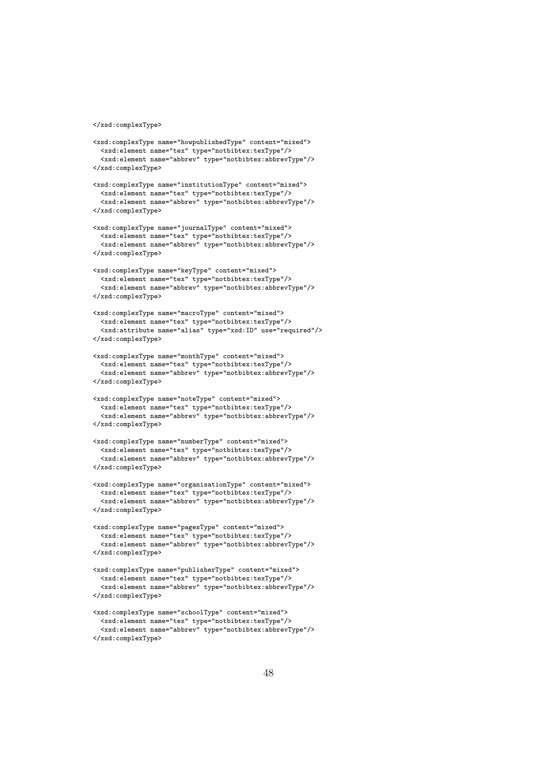```
</xsd:complexType>
```

```
<xsd:complexType name="howpublishedType" content="mixed">
 <xsd:element name="tex" type="notbibtex:texType"/>
  <xsd:element name="abbrev" type="notbibtex:abbrevType"/>
</xsd:complexType>
<xsd:complexType name="institutionType" content="mixed">
  <xsd:element name="tex" type="notbibtex:texType"/>
  <xsd:element name="abbrev" type="notbibtex:abbrevType"/>
</xsd:complexType>
<xsd:complexType name="journalType" content="mixed">
  <xsd:element name="tex" type="notbibtex:texType"/>
  <xsd:element name="abbrev" type="notbibtex:abbrevType"/>
</xsd:complexType>
<xsd:complexType name="keyType" content="mixed">
  <xsd:element name="tex" type="notbibtex:texType"/>
  <xsd:element name="abbrev" type="notbibtex:abbrevType"/>
</xsd:complexType>
<xsd:complexType name="macroType" content="mixed">
  <xsd:element name="tex" type="notbibtex:texType"/>
  <xsd:attribute name="alias" type="xsd:ID" use="required"/>
</xsd:complexType>
<xsd:complexType name="monthType" content="mixed">
  <xsd:element name="tex" type="notbibtex:texType"/>
  <xsd:element name="abbrev" type="notbibtex:abbrevType"/>
</xsd:complexType>
<xsd:complexType name="noteType" content="mixed">
  <xsd:element name="tex" type="notbibtex:texType"/>
  <xsd:element name="abbrev" type="notbibtex:abbrevType"/>
</xsd:complexType>
<xsd:complexType name="numberType" content="mixed">
 <xsd:element name="tex" type="notbibtex:texType"/>
  <xsd:element name="abbrev" type="notbibtex:abbrevType"/>
</xsd:complexType>
<xsd:complexType name="organisationType" content="mixed">
 <xsd:element name="tex" type="notbibtex:texType"/>
  <xsd:element name="abbrev" type="notbibtex:abbrevType"/>
</xsd:complexType>
<xsd:complexType name="pagesType" content="mixed">
 <xsd:element name="tex" type="notbibtex:texType"/>
  <xsd:element name="abbrev" type="notbibtex:abbrevType"/>
</xsd:complexType>
```

```
<xsd:complexType name="publisherType" content="mixed">
  <xsd:element name="tex" type="notbibtex:texType"/>
  <xsd:element name="abbrev" type="notbibtex:abbrevType"/>
</xsd:complexType>
```

```
<xsd:complexType name="schoolType" content="mixed">
 <xsd:element name="tex" type="notbibtex:texType"/>
 <xsd:element name="abbrev" type="notbibtex:abbrevType"/>
</xsd:complexType>
```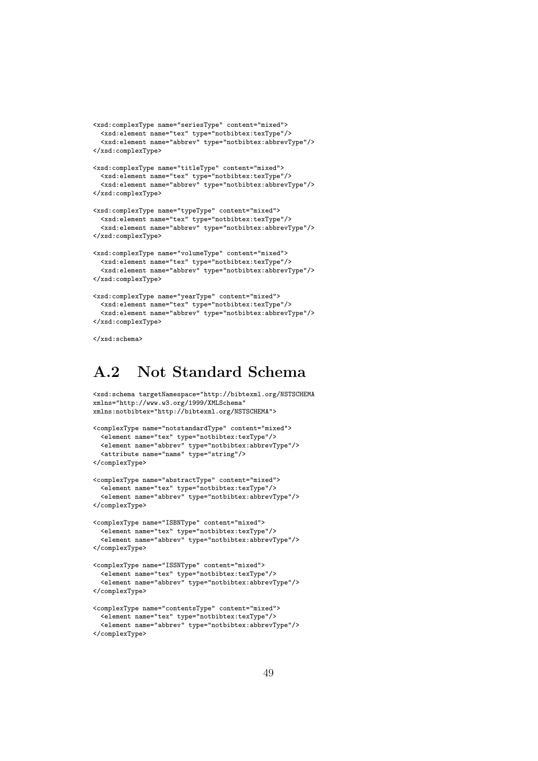```
<xsd:complexType name="seriesType" content="mixed">
  <xsd:element name="tex" type="notbibtex:texType"/>
  <xsd:element name="abbrev" type="notbibtex:abbrevType"/>
</xsd:complexType>
<xsd:complexType name="titleType" content="mixed">
 <xsd:element name="tex" type="notbibtex:texType"/>
  <xsd:element name="abbrev" type="notbibtex:abbrevType"/>
</xsd:complexType>
<xsd:complexType name="typeType" content="mixed">
 <xsd:element name="tex" type="notbibtex:texType"/>
  <xsd:element name="abbrev" type="notbibtex:abbrevType"/>
</xsd:complexType>
<xsd:complexType name="volumeType" content="mixed">
 <xsd:element name="tex" type="notbibtex:texType"/>
  <xsd:element name="abbrev" type="notbibtex:abbrevType"/>
</xsd:complexType>
<xsd:complexType name="yearType" content="mixed">
  <xsd:element name="tex" type="notbibtex:texType"/>
```

```
<xsd:element name="abbrev" type="notbibtex:abbrevType"/>
</xsd:complexType>
```

```
</xsd:schema>
```
## A.2 Not Standard Schema

```
<xsd:schema targetNamespace="http://bibtexml.org/NSTSCHEMA
xmlns="http://www.w3.org/1999/XMLSchema"
xmlns:notbibtex="http://bibtexml.org/NSTSCHEMA">
<complexType name="notstandardType" content="mixed">
 <element name="tex" type="notbibtex:texType"/>
 <element name="abbrev" type="notbibtex:abbrevType"/>
  <attribute name="name" type="string"/>
</complexType>
<complexType name="abstractType" content="mixed">
 <element name="tex" type="notbibtex:texType"/>
  <element name="abbrev" type="notbibtex:abbrevType"/>
</complexType>
<complexType name="ISBNType" content="mixed">
 <element name="tex" type="notbibtex:texType"/>
  <element name="abbrev" type="notbibtex:abbrevType"/>
</complexType>
```

```
<complexType name="ISSNType" content="mixed">
 <element name="tex" type="notbibtex:texType"/>
 <element name="abbrev" type="notbibtex:abbrevType"/>
</complexType>
```

```
<complexType name="contentsType" content="mixed">
 <element name="tex" type="notbibtex:texType"/>
 <element name="abbrev" type="notbibtex:abbrevType"/>
</complexType>
```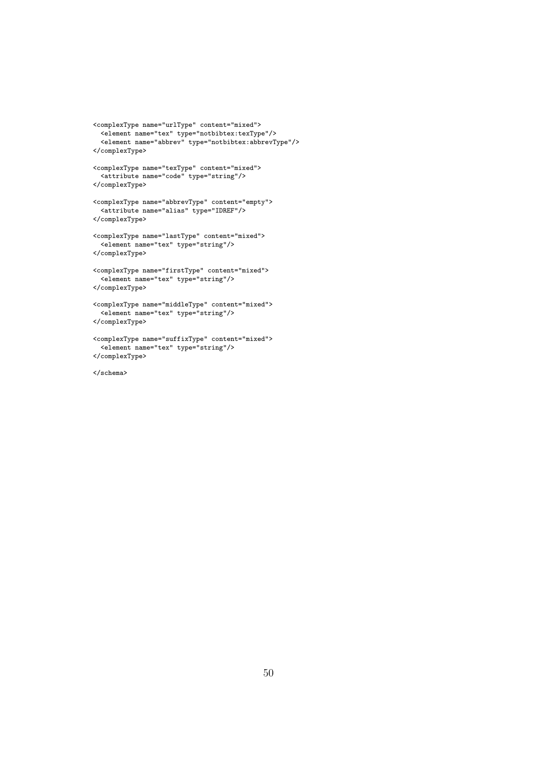```
<complexType name="urlType" content="mixed">
  <element name="tex" type="notbibtex:texType"/>
  <element name="abbrev" type="notbibtex:abbrevType"/>
</complexType>
<complexType name="texType" content="mixed">
  <attribute name="code" type="string"/>
</complexType>
<complexType name="abbrevType" content="empty">
 <attribute name="alias" type="IDREF"/>
</complexType>
<complexType name="lastType" content="mixed">
  <element name="tex" type="string"/>
</complexType>
<complexType name="firstType" content="mixed">
  <element name="tex" type="string"/>
</complexType>
<complexType name="middleType" content="mixed">
  <element name="tex" type="string"/>
</complexType>
<complexType name="suffixType" content="mixed">
  <element name="tex" type="string"/>
</complexType>
```
</schema>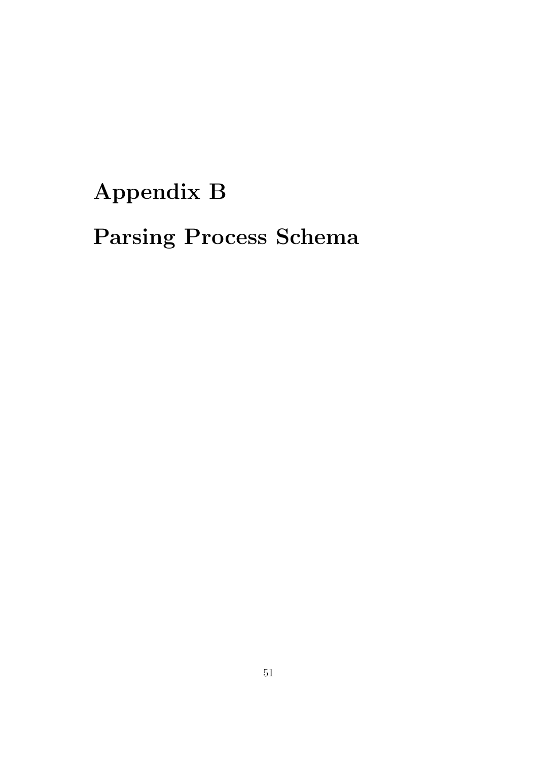# Appendix B Parsing Process Schema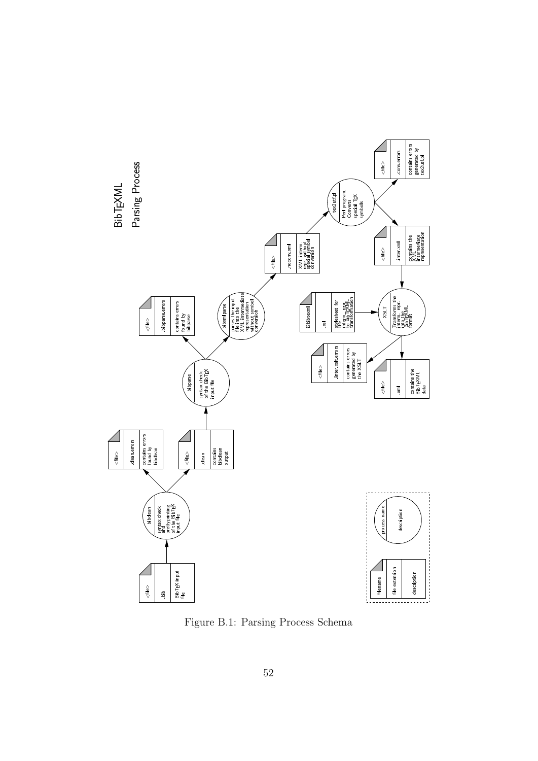

Figure B.1: Parsing Process Schema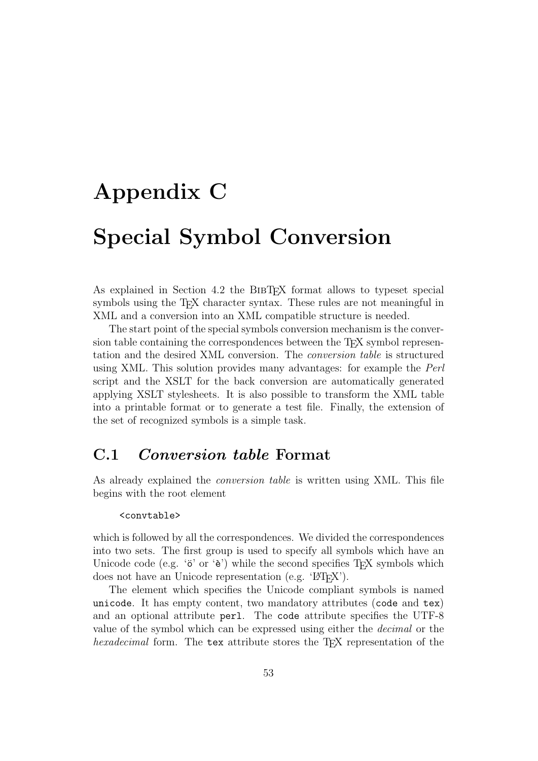# Appendix C Special Symbol Conversion

As explained in Section 4.2 the BIBT<sub>EX</sub> format allows to typeset special symbols using the T<sub>E</sub>X character syntax. These rules are not meaningful in XML and a conversion into an XML compatible structure is needed.

The start point of the special symbols conversion mechanism is the conversion table containing the correspondences between the T<sub>EX</sub> symbol representation and the desired XML conversion. The conversion table is structured using XML. This solution provides many advantages: for example the Perl script and the XSLT for the back conversion are automatically generated applying XSLT stylesheets. It is also possible to transform the XML table into a printable format or to generate a test file. Finally, the extension of the set of recognized symbols is a simple task.

## C.1 Conversion table Format

As already explained the conversion table is written using XML. This file begins with the root element

#### <convtable>

which is followed by all the correspondences. We divided the correspondences into two sets. The first group is used to specify all symbols which have an Unicode code (e.g. ' $\ddot{\text{o}}'$  or ' $\ddot{\text{e}}'$ ) while the second specifies T<sub>EX</sub> symbols which does not have an Unicode representation (e.g. ' $\mathbb{E}(\mathbb{E}(\mathbf{X}))$ .

The element which specifies the Unicode compliant symbols is named unicode. It has empty content, two mandatory attributes (code and tex) and an optional attribute perl. The code attribute specifies the UTF-8 value of the symbol which can be expressed using either the decimal or the hexadecimal form. The tex attribute stores the T<sub>E</sub>X representation of the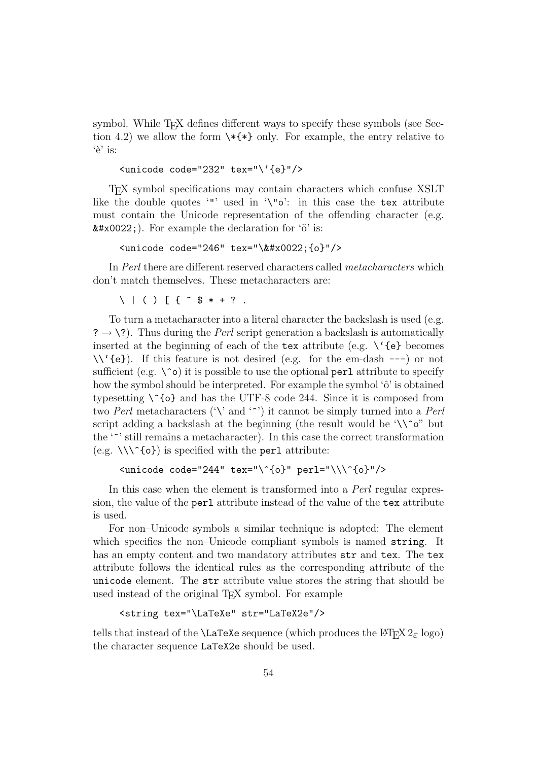symbol. While T<sub>EX</sub> defines different ways to specify these symbols (see Section 4.2) we allow the form  $\ast \ast$  only. For example, the entry relative to  $'e'$  is:

<unicode code="232" tex="\'{e}"/>

TEX symbol specifications may contain characters which confuse XSLT like the double quotes '"' used in '\"o': in this case the tex attribute must contain the Unicode representation of the offending character (e.g.  $\text{\#x0022}$ . For example the declaration for 'o' is:

```
<unicode code="246" tex="\&#x0022; {o}"/>
```
In Perl there are different reserved characters called metacharacters which don't match themselves. These metacharacters are:

 $\setminus$  | ( ) [ {  $\hat{ }$  \$  $\ast$  + ? .

To turn a metacharacter into a literal character the backslash is used (e.g.  $? \rightarrow \$ ?). Thus during the *Perl* script generation a backslash is automatically inserted at the beginning of each of the tex attribute (e.g.  $\setminus$  '{e} becomes \\'{e}). If this feature is not desired (e.g. for the em-dash ---) or not sufficient (e.g.  $\infty$ ) it is possible to use the optional perl attribute to specify how the symbol should be interpreted. For example the symbol ' $\hat{o}$ ' is obtained typesetting  $\binom{6}{6}$  and has the UTF-8 code 244. Since it is composed from two Perl metacharacters ('\' and '^') it cannot be simply turned into a Perl script adding a backslash at the beginning (the result would be '\\^o" but the '^' still remains a metacharacter). In this case the correct transformation (e.g.  $\setminus \setminus \setminus^{c}$  (o}) is specified with the perl attribute:

```
<unicode code="244" tex="\^{o}" perl="\\\^{o}"/>
```
In this case when the element is transformed into a Perl regular expression, the value of the perl attribute instead of the value of the tex attribute is used.

For non–Unicode symbols a similar technique is adopted: The element which specifies the non–Unicode compliant symbols is named string. It has an empty content and two mandatory attributes  $str$  and tex. The tex attribute follows the identical rules as the corresponding attribute of the unicode element. The str attribute value stores the string that should be used instead of the original T<sub>E</sub>X symbol. For example

```
<string tex="\LaTeXe" str="LaTeX2e"/>
```
tells that instead of the **\LaTeXe** sequence (which produces the  $\text{LATEX} 2_{\varepsilon} \log o$ ) the character sequence LaTeX2e should be used.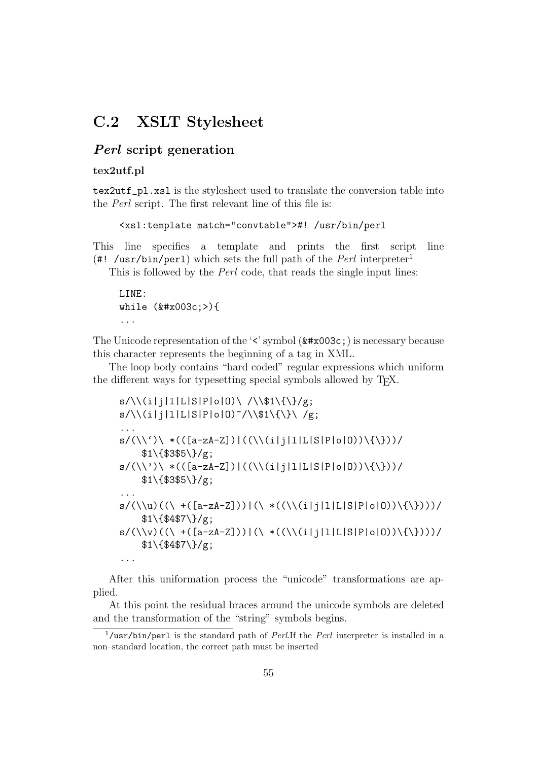## C.2 XSLT Stylesheet

#### Perl script generation

#### tex2utf.pl

tex2utf\_pl.xsl is the stylesheet used to translate the conversion table into the Perl script. The first relevant line of this file is:

<xsl:template match="convtable">#! /usr/bin/perl

This line specifies a template and prints the first script line (#! /usr/bin/perl) which sets the full path of the *Perl* interpreter<sup>1</sup>

This is followed by the Perl code, that reads the single input lines:

LINE: while  $(x#x003c;>)$ ...

The Unicode representation of the  $\leq$  symbol  $(\&\#x003c)$  is necessary because this character represents the beginning of a tag in XML.

The loop body contains "hard coded" regular expressions which uniform the different ways for typesetting special symbols allowed by T<sub>E</sub>X.

```
s/\backslash\backslash(i|j|1|L|S|P|o|0)\backslash/\backslash\$1\backslash\{\backslash\}/g;
s/\backslash\left(\frac{i}{j}|1|L|S|P|o|0\right) /\\$1\{\}\ /g;
...
s/(\langle \langle \cdot \rangle \rangle * (([a-zA-Z]))(\langle \langle \langle (i|j|1|L|S|P|o|0) \rangle \langle \{ \rangle \}))/$1\{$3$5\}/g;
s/(\langle \rangle') \setminus *(([a-zA-Z]))(\langle \langle \langle (i|j|1|L|S|P|o|0) \rangle \langle \langle \rangle \rangle))$1\{$3$5\}/g;
...
s/(\langle u)(\langle \ +([a-zA-Z]))|(\langle \ *((\langle (i|j|1|L|S|P|o|0))\rangle({\langle \})))$1\{$4$7\}/g;
s/(\langle v \rangle((\langle +(a-zA-Z])))|(\langle +(((i|i|1|L|S|P|o|0))\rangle({\langle \rangle})))$1\{\$4\$7\}\g;
...
```
After this uniformation process the "unicode" transformations are applied.

At this point the residual braces around the unicode symbols are deleted and the transformation of the "string" symbols begins.

 $1/$ usr/bin/perl is the standard path of *Perl.*If the *Perl* interpreter is installed in a non–standard location, the correct path must be inserted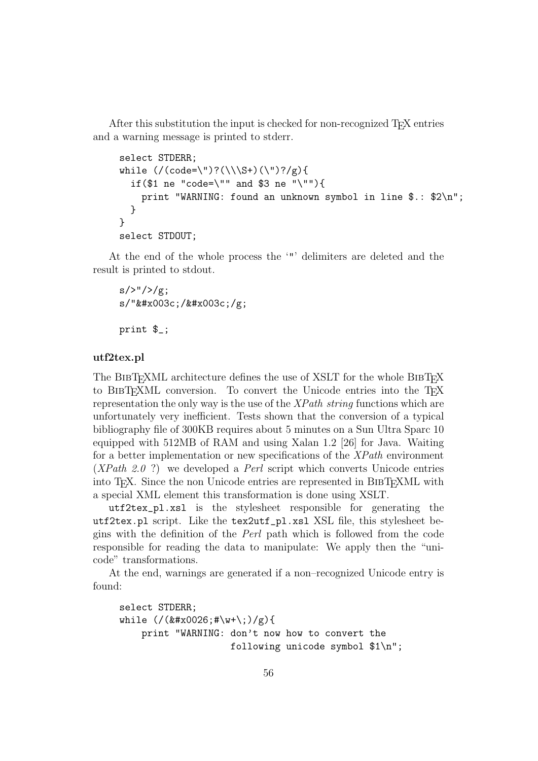After this substitution the input is checked for non-recognized T<sub>E</sub>X entries and a warning message is printed to stderr.

```
select STDERR;
while \frac{(\cdot)(\cdot)(\cdot)}{S^+}(\cdot)?(\\\S+)(\")?/g){
  if($1 ne "code=\"" and $3 ne "\""){
    print "WARNING: found an unknown symbol in line $.: $2\n";
  }
}
select STDOUT;
```
At the end of the whole process the '"' delimiters are deleted and the result is printed to stdout.

```
s///\frac{g}{g};
s/"</&#x003c;/g;
print $_;
```
#### utf2tex.pl

The BIBT<sub>E</sub>XML architecture defines the use of XSLT for the whole BIBT<sub>EX</sub> to BIBT<sub>E</sub>XML conversion. To convert the Unicode entries into the T<sub>E</sub>X representation the only way is the use of the  $\chi Path\ string$  functions which are unfortunately very inefficient. Tests shown that the conversion of a typical bibliography file of 300KB requires about 5 minutes on a Sun Ultra Sparc 10 equipped with 512MB of RAM and using Xalan 1.2 [26] for Java. Waiting for a better implementation or new specifications of the XPath environment  $(XPath 2.0 ?)$  we developed a *Perl* script which converts Unicode entries into TEX. Since the non Unicode entries are represented in BibTEXML with a special XML element this transformation is done using XSLT.

utf2tex\_pl.xsl is the stylesheet responsible for generating the utf2tex.pl script. Like the tex2utf\_pl.xsl XSL file, this stylesheet begins with the definition of the Perl path which is followed from the code responsible for reading the data to manipulate: We apply then the "unicode" transformations.

At the end, warnings are generated if a non–recognized Unicode entry is found:

```
select STDERR;
while \frac{(\ell \#x0026; \#w+\1;)}{g}print "WARNING: don't now how to convert the
                      following unicode symbol $1\n";
```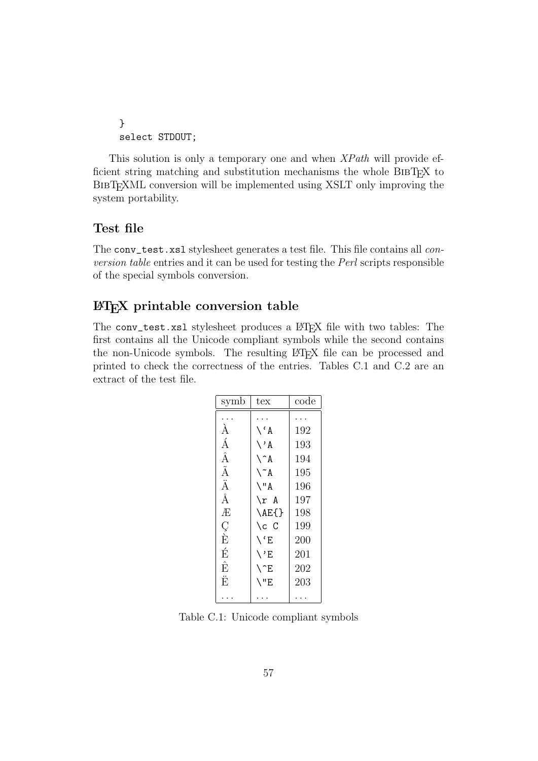```
}
select STDOUT;
```
This solution is only a temporary one and when XPath will provide efficient string matching and substitution mechanisms the whole BIBTEX to BIBT<sub>EX</sub>ML conversion will be implemented using XSLT only improving the system portability.

#### Test file

The conv\_test.xsl stylesheet generates a test file. This file contains all conversion table entries and it can be used for testing the Perl scripts responsible of the special symbols conversion.

#### LATEX printable conversion table

The conv\_test.xsl stylesheet produces a L<sup>AT</sup>EX file with two tables: The first contains all the Unicode compliant symbols while the second contains the non-Unicode symbols. The resulting LAT<sub>E</sub>X file can be processed and printed to check the correctness of the entries. Tables C.1 and C.2 are an extract of the test file.

| symb               | $textrm{tex}$     | code |
|--------------------|-------------------|------|
|                    |                   |      |
| $\grave{\text{A}}$ | $\wedge$ $\wedge$ | 192  |
| Á                  | $\setminus A$     | 193  |
| Â                  | $\wedge$ ^ A      | 194  |
| $\tilde{\text{A}}$ | $\mathcal{A}$     | 195  |
| Ä                  | $\setminus$ "A    | 196  |
| Å                  | \r A              | 197  |
| Æ                  | \AE{}             | 198  |
| Ç<br>È             | \c C              | 199  |
|                    | $\setminus$ $E$   | 200  |
| É                  | $\setminus$ 'E    | 201  |
| Ê                  | $\setminus$ $E$   | 202  |
| Ë                  | \"E               | 203  |
|                    |                   |      |

Table C.1: Unicode compliant symbols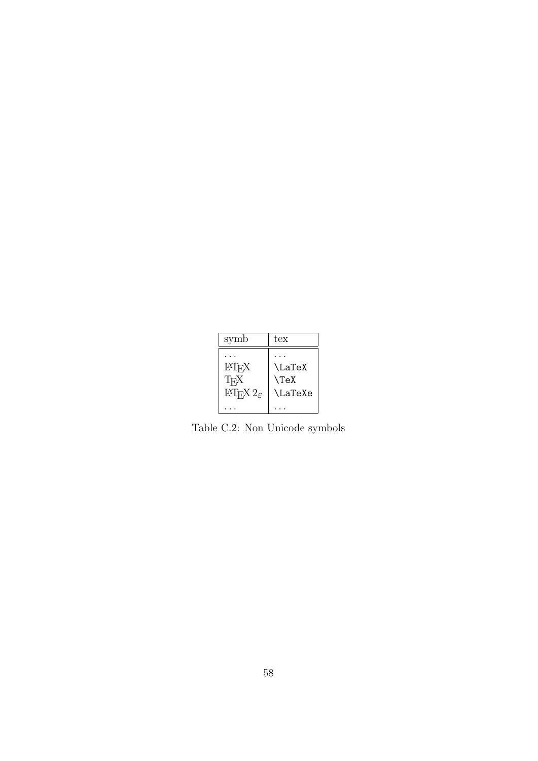| symb                                                       | tex                                  |
|------------------------------------------------------------|--------------------------------------|
| LAT <sub>F</sub> X<br>TFX<br>$\text{LFTF}X2_{\varepsilon}$ | <b>\LaTeX</b><br>$\Gamma$<br>\LaTeXe |
|                                                            |                                      |

Table C.2: Non Unicode symbols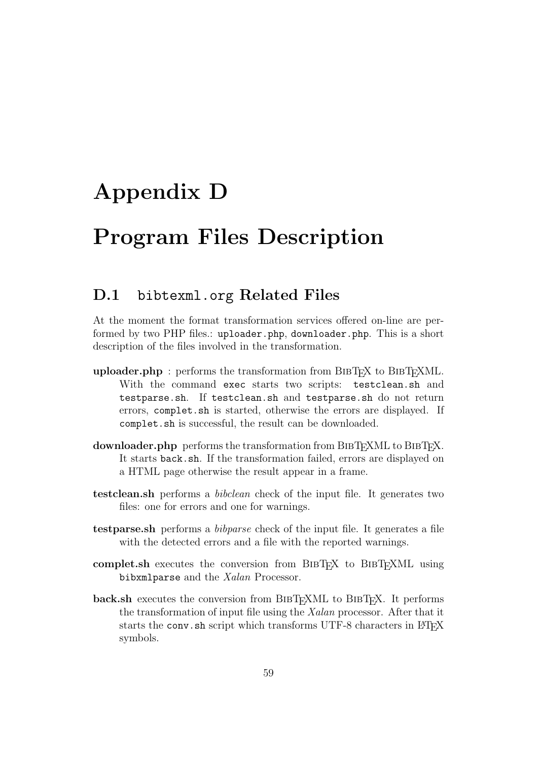# Appendix D

## Program Files Description

## D.1 bibtexml.org Related Files

At the moment the format transformation services offered on-line are performed by two PHP files.: uploader.php, downloader.php. This is a short description of the files involved in the transformation.

- uploader.php : performs the transformation from  $BIBTFX$  to  $BIBTFXML$ . With the command exec starts two scripts: testclean.sh and testparse.sh. If testclean.sh and testparse.sh do not return errors, complet.sh is started, otherwise the errors are displayed. If complet.sh is successful, the result can be downloaded.
- downloader.php performs the transformation from BIBT<sub>EX</sub>ML to BIBT<sub>EX</sub>. It starts back.sh. If the transformation failed, errors are displayed on a HTML page otherwise the result appear in a frame.
- testclean.sh performs a bibclean check of the input file. It generates two files: one for errors and one for warnings.
- testparse.sh performs a bibparse check of the input file. It generates a file with the detected errors and a file with the reported warnings.
- complet.sh executes the conversion from BIBT<sub>EX</sub> to BIBT<sub>EX</sub>ML using bibxmlparse and the Xalan Processor.
- back.sh executes the conversion from BIBT<sub>EXML</sub> to BIBT<sub>EX</sub>. It performs the transformation of input file using the Xalan processor. After that it starts the conv.sh script which transforms UTF-8 characters in LATEX symbols.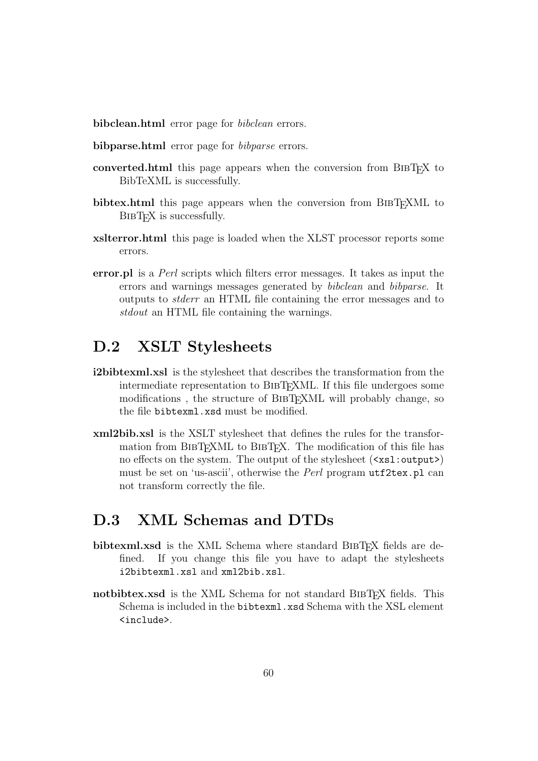bibclean.html error page for *bibclean* errors.

- bibparse.html error page for *bibparse* errors.
- converted.html this page appears when the conversion from BibTEX to BibTeXML is successfully.
- bibtex.html this page appears when the conversion from BIBT<sub>EX</sub>ML to BIBT<sub>EX</sub> is successfully.
- xslterror.html this page is loaded when the XLST processor reports some errors.
- error.pl is a Perl scripts which filters error messages. It takes as input the errors and warnings messages generated by bibclean and bibparse. It outputs to stderr an HTML file containing the error messages and to stdout an HTML file containing the warnings.

## D.2 XSLT Stylesheets

- i2bibtexml.xsl is the stylesheet that describes the transformation from the intermediate representation to BIBTEXML. If this file undergoes some modifications, the structure of BIBTEXML will probably change, so the file bibtexml.xsd must be modified.
- xml2bib.xsl is the XSLT stylesheet that defines the rules for the transformation from BIBTEXML to BIBTEX. The modification of this file has no effects on the system. The output of the stylesheet  $(\langle xsl:output \rangle)$ must be set on 'us-ascii', otherwise the Perl program utf2tex.pl can not transform correctly the file.

## D.3 XML Schemas and DTDs

- bibtexml.xsd is the XML Schema where standard BIBTEX fields are defined. If you change this file you have to adapt the stylesheets i2bibtexml.xsl and xml2bib.xsl.
- notbibtex.xsd is the XML Schema for not standard BIBT<sub>EX</sub> fields. This Schema is included in the bibtexml.xsd Schema with the XSL element <include>.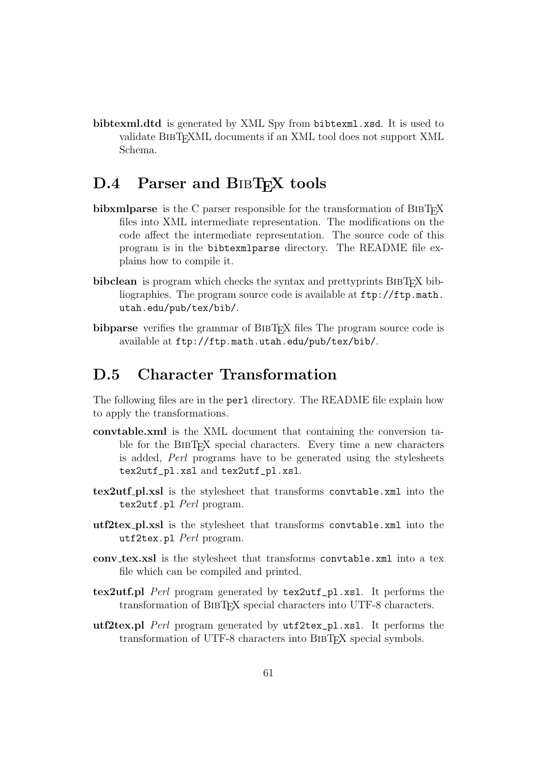bibtexml.dtd is generated by XML Spy from bibtexml.xsd. It is used to validate BIBT<sub>EX</sub>ML documents if an XML tool does not support XML Schema.

## D.4 Parser and BIBT<sub>EX</sub> tools

- bibxmlparse is the C parser responsible for the transformation of BIBT<sub>EX</sub> files into XML intermediate representation. The modifications on the code affect the intermediate representation. The source code of this program is in the bibtexmlparse directory. The README file explains how to compile it.
- bibclean is program which checks the syntax and prettyprints BIBT<sub>EX</sub> bibliographies. The program source code is available at ftp://ftp.math. utah.edu/pub/tex/bib/.
- bibparse verifies the grammar of BIBT<sub>EX</sub> files The program source code is available at ftp://ftp.math.utah.edu/pub/tex/bib/.

## D.5 Character Transformation

The following files are in the perl directory. The README file explain how to apply the transformations.

- convtable.xml is the XML document that containing the conversion table for the BIBTEX special characters. Every time a new characters is added, Perl programs have to be generated using the stylesheets tex2utf\_pl.xsl and tex2utf\_pl.xsl.
- tex2utf pl.xsl is the stylesheet that transforms convtable.xml into the tex2utf.pl Perl program.
- utf2tex pl.xsl is the stylesheet that transforms convtable.xml into the utf2tex.pl Perl program.
- conv tex.xsl is the stylesheet that transforms convtable.xml into a tex file which can be compiled and printed.
- tex2utf.pl Perl program generated by tex2utf\_pl.xsl. It performs the transformation of BibTEX special characters into UTF-8 characters.
- utf2tex.pl Perl program generated by utf2tex\_pl.xsl. It performs the transformation of UTF-8 characters into BIBT<sub>EX</sub> special symbols.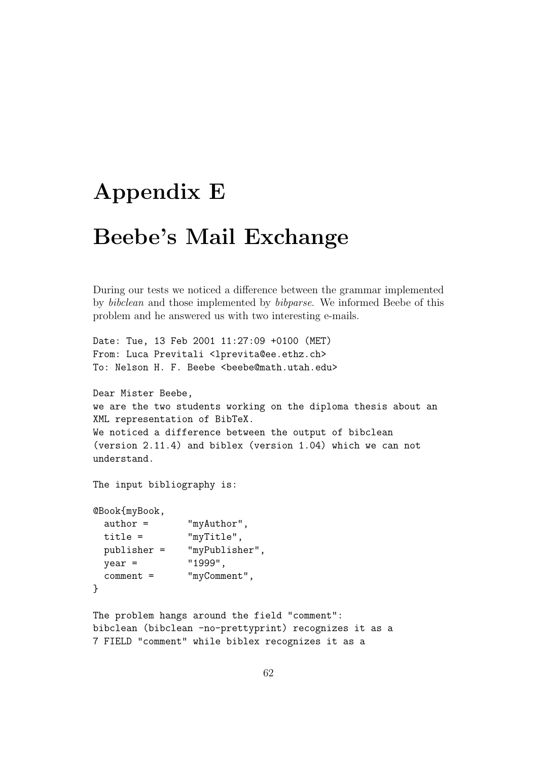# Appendix E

# Beebe's Mail Exchange

During our tests we noticed a difference between the grammar implemented by bibclean and those implemented by bibparse. We informed Beebe of this problem and he answered us with two interesting e-mails.

```
Date: Tue, 13 Feb 2001 11:27:09 +0100 (MET)
From: Luca Previtali <lprevita@ee.ethz.ch>
To: Nelson H. F. Beebe <beebe@math.utah.edu>
```

```
Dear Mister Beebe,
we are the two students working on the diploma thesis about an
XML representation of BibTeX.
We noticed a difference between the output of bibclean
(version 2.11.4) and biblex (version 1.04) which we can not
understand.
```
The input bibliography is:

```
@Book{myBook,
 author = "myAuthor",
 title = "myTitle",
 publisher = "myPublisher",
 year = "1999",
 comment = "myComment",
}
```
The problem hangs around the field "comment": bibclean (bibclean -no-prettyprint) recognizes it as a 7 FIELD "comment" while biblex recognizes it as a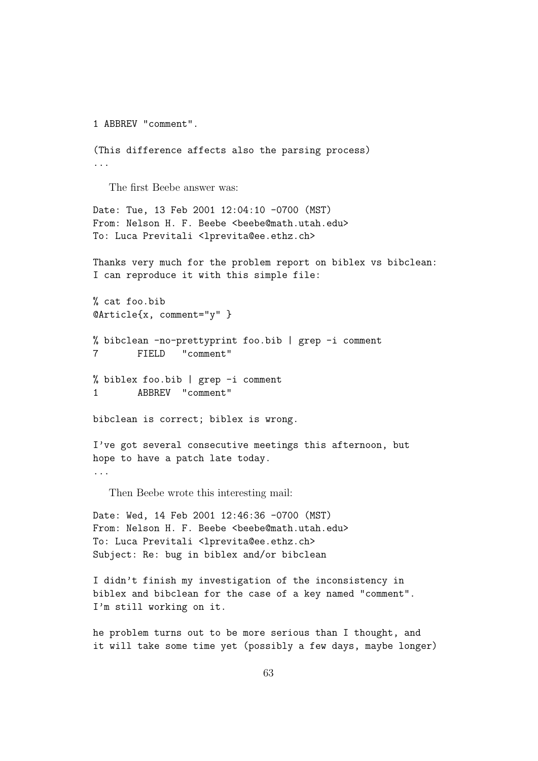```
1 ABBREV "comment".
(This difference affects also the parsing process)
...
  The first Beebe answer was:
Date: Tue, 13 Feb 2001 12:04:10 -0700 (MST)
From: Nelson H. F. Beebe <beebe@math.utah.edu>
To: Luca Previtali <lprevita@ee.ethz.ch>
Thanks very much for the problem report on biblex vs bibclean:
I can reproduce it with this simple file:
% cat foo.bib
@Article{x, comment="y" }
% bibclean -no-prettyprint foo.bib | grep -i comment
7 FIELD "comment"
% biblex foo.bib | grep -i comment
1 ABBREV "comment"
bibclean is correct; biblex is wrong.
I've got several consecutive meetings this afternoon, but
hope to have a patch late today.
...
  Then Beebe wrote this interesting mail:
Date: Wed, 14 Feb 2001 12:46:36 -0700 (MST)
From: Nelson H. F. Beebe <beebe@math.utah.edu>
To: Luca Previtali <lprevita@ee.ethz.ch>
Subject: Re: bug in biblex and/or bibclean
I didn't finish my investigation of the inconsistency in
biblex and bibclean for the case of a key named "comment".
I'm still working on it.
```
he problem turns out to be more serious than I thought, and it will take some time yet (possibly a few days, maybe longer)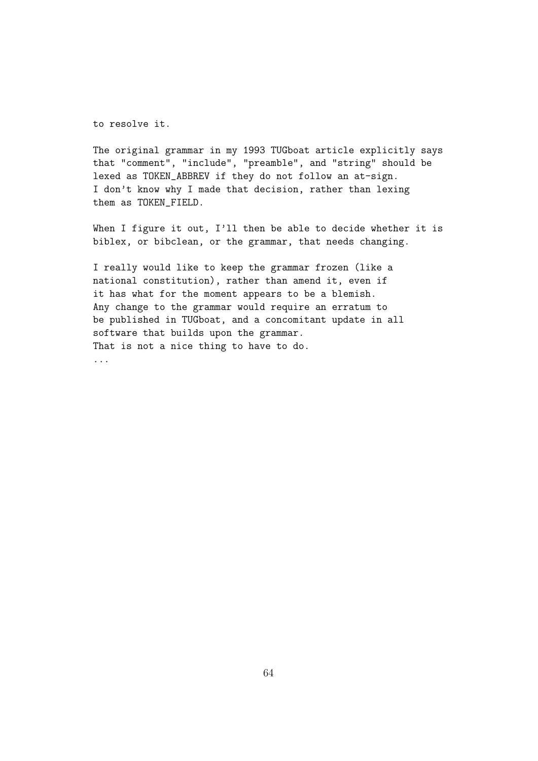to resolve it.

The original grammar in my 1993 TUGboat article explicitly says that "comment", "include", "preamble", and "string" should be lexed as TOKEN\_ABBREV if they do not follow an at-sign. I don't know why I made that decision, rather than lexing them as TOKEN\_FIELD.

When I figure it out, I'll then be able to decide whether it is biblex, or bibclean, or the grammar, that needs changing.

I really would like to keep the grammar frozen (like a national constitution), rather than amend it, even if it has what for the moment appears to be a blemish. Any change to the grammar would require an erratum to be published in TUGboat, and a concomitant update in all software that builds upon the grammar. That is not a nice thing to have to do.

...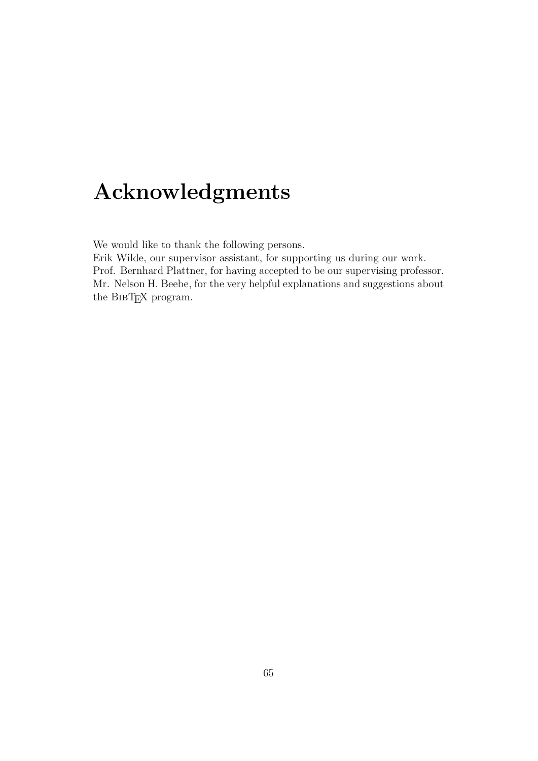# Acknowledgments

We would like to thank the following persons.

Erik Wilde, our supervisor assistant, for supporting us during our work. Prof. Bernhard Plattner, for having accepted to be our supervising professor. Mr. Nelson H. Beebe, for the very helpful explanations and suggestions about the BIBT<sub>EX</sub> program.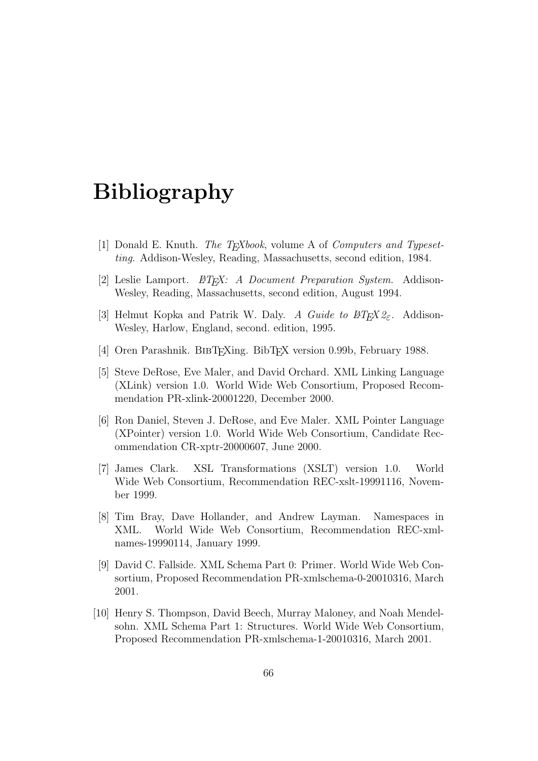# Bibliography

- [1] Donald E. Knuth. *The T<sub>E</sub>Xbook*, volume A of *Computers and Typeset*ting. Addison-Wesley, Reading, Massachusetts, second edition, 1984.
- [2] Leslie Lamport.  $\mathcal{B}T_F X: A$  Document Preparation System. Addison-Wesley, Reading, Massachusetts, second edition, August 1994.
- [3] Helmut Kopka and Patrik W. Daly. A Guide to  $\cancel{B T_F X2_{\epsilon}}$ . Addison-Wesley, Harlow, England, second. edition, 1995.
- [4] Oren Parashnik. BIBTEXing. BibTEX version 0.99b, February 1988.
- [5] Steve DeRose, Eve Maler, and David Orchard. XML Linking Language (XLink) version 1.0. World Wide Web Consortium, Proposed Recommendation PR-xlink-20001220, December 2000.
- [6] Ron Daniel, Steven J. DeRose, and Eve Maler. XML Pointer Language (XPointer) version 1.0. World Wide Web Consortium, Candidate Recommendation CR-xptr-20000607, June 2000.
- [7] James Clark. XSL Transformations (XSLT) version 1.0. World Wide Web Consortium, Recommendation REC-xslt-19991116, November 1999.
- [8] Tim Bray, Dave Hollander, and Andrew Layman. Namespaces in XML. World Wide Web Consortium, Recommendation REC-xmlnames-19990114, January 1999.
- [9] David C. Fallside. XML Schema Part 0: Primer. World Wide Web Consortium, Proposed Recommendation PR-xmlschema-0-20010316, March 2001.
- [10] Henry S. Thompson, David Beech, Murray Maloney, and Noah Mendelsohn. XML Schema Part 1: Structures. World Wide Web Consortium, Proposed Recommendation PR-xmlschema-1-20010316, March 2001.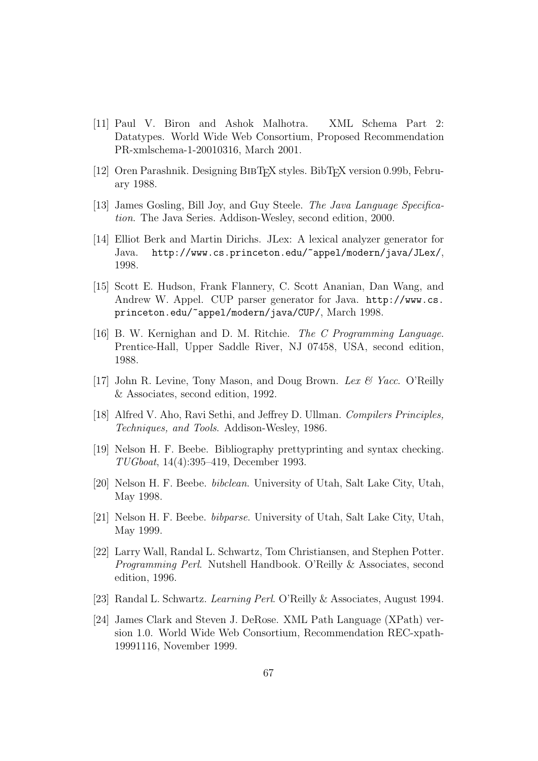- [11] Paul V. Biron and Ashok Malhotra. XML Schema Part 2: Datatypes. World Wide Web Consortium, Proposed Recommendation PR-xmlschema-1-20010316, March 2001.
- [12] Oren Parashnik. Designing BIBTEX styles. BibTEX version 0.99b, February 1988.
- [13] James Gosling, Bill Joy, and Guy Steele. The Java Language Specification. The Java Series. Addison-Wesley, second edition, 2000.
- [14] Elliot Berk and Martin Dirichs. JLex: A lexical analyzer generator for Java. http://www.cs.princeton.edu/~appel/modern/java/JLex/, 1998.
- [15] Scott E. Hudson, Frank Flannery, C. Scott Ananian, Dan Wang, and Andrew W. Appel. CUP parser generator for Java. http://www.cs. princeton.edu/~appel/modern/java/CUP/, March 1998.
- [16] B. W. Kernighan and D. M. Ritchie. The C Programming Language. Prentice-Hall, Upper Saddle River, NJ 07458, USA, second edition, 1988.
- [17] John R. Levine, Tony Mason, and Doug Brown. Lex & Yacc. O'Reilly & Associates, second edition, 1992.
- [18] Alfred V. Aho, Ravi Sethi, and Jeffrey D. Ullman. Compilers Principles, Techniques, and Tools. Addison-Wesley, 1986.
- [19] Nelson H. F. Beebe. Bibliography prettyprinting and syntax checking. TUGboat, 14(4):395–419, December 1993.
- [20] Nelson H. F. Beebe. bibclean. University of Utah, Salt Lake City, Utah, May 1998.
- [21] Nelson H. F. Beebe. bibparse. University of Utah, Salt Lake City, Utah, May 1999.
- [22] Larry Wall, Randal L. Schwartz, Tom Christiansen, and Stephen Potter. Programming Perl. Nutshell Handbook. O'Reilly & Associates, second edition, 1996.
- [23] Randal L. Schwartz. Learning Perl. O'Reilly & Associates, August 1994.
- [24] James Clark and Steven J. DeRose. XML Path Language (XPath) version 1.0. World Wide Web Consortium, Recommendation REC-xpath-19991116, November 1999.